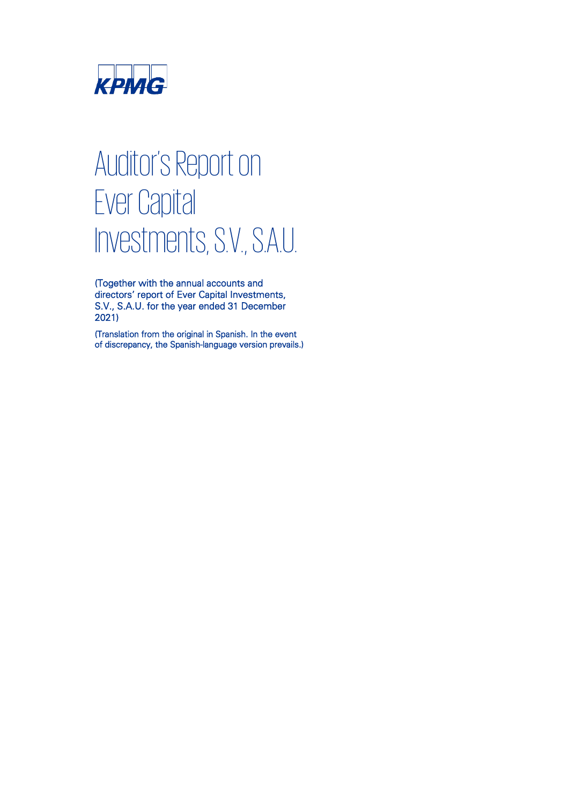

# Auditor's Report on Ever Capital Investments, S.V., S.A.U.

(Together with the annual accounts and directors' report of Ever Capital Investments, S.V., S.A.U. for the year ended 31 December 2021)

(Translation from the original in Spanish. In the event of discrepancy, the Spanish-language version prevails.)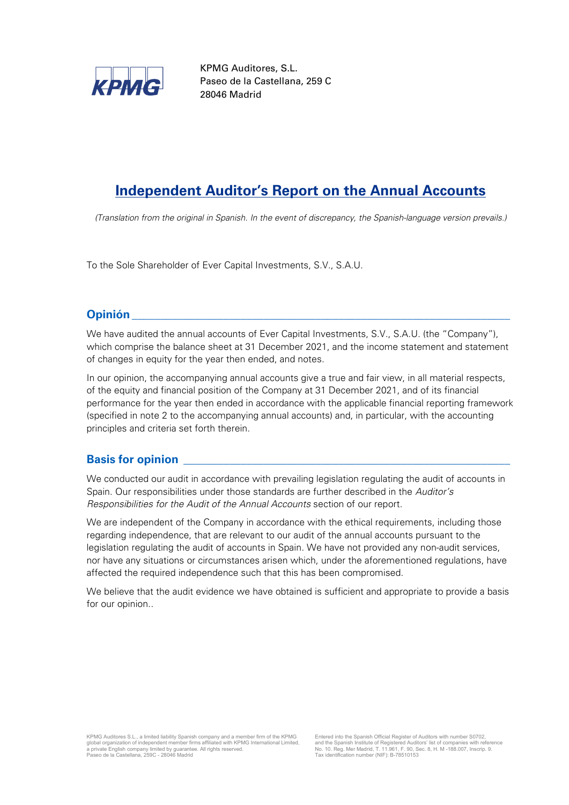

KPMG Auditores, S.L. Paseo de la Castellana, 259 C 28046 Madrid

# **Independent Auditor's Report on the Annual Accounts**

*(Translation from the original in Spanish. In the event of discrepancy, the Spanish-language version prevails.)*

To the Sole Shareholder of Ever Capital Investments, S.V., S.A.U.

# **Opinión \_\_\_\_\_\_\_\_\_\_\_\_\_\_\_\_\_\_\_\_\_\_\_\_\_\_\_\_\_\_\_\_\_\_\_\_\_\_\_\_\_\_\_\_\_\_\_\_\_\_\_\_\_\_\_\_\_\_\_\_\_\_\_\_\_\_**

We have audited the annual accounts of Ever Capital Investments, S.V., S.A.U. (the "Company"), which comprise the balance sheet at 31 December 2021, and the income statement and statement of changes in equity for the year then ended, and notes.

In our opinion, the accompanying annual accounts give a true and fair view, in all material respects, of the equity and financial position of the Company at 31 December 2021, and of its financial performance for the year then ended in accordance with the applicable financial reporting framework (specified in note 2 to the accompanying annual accounts) and, in particular, with the accounting principles and criteria set forth therein.

# **Basis for opinion**

We conducted our audit in accordance with prevailing legislation regulating the audit of accounts in Spain. Our responsibilities under those standards are further described in the *Auditor's Responsibilities for the Audit of the Annual Accounts* section of our report.

We are independent of the Company in accordance with the ethical requirements, including those regarding independence, that are relevant to our audit of the annual accounts pursuant to the legislation regulating the audit of accounts in Spain. We have not provided any non-audit services, nor have any situations or circumstances arisen which, under the aforementioned regulations, have affected the required independence such that this has been compromised.

We believe that the audit evidence we have obtained is sufficient and appropriate to provide a basis for our opinion..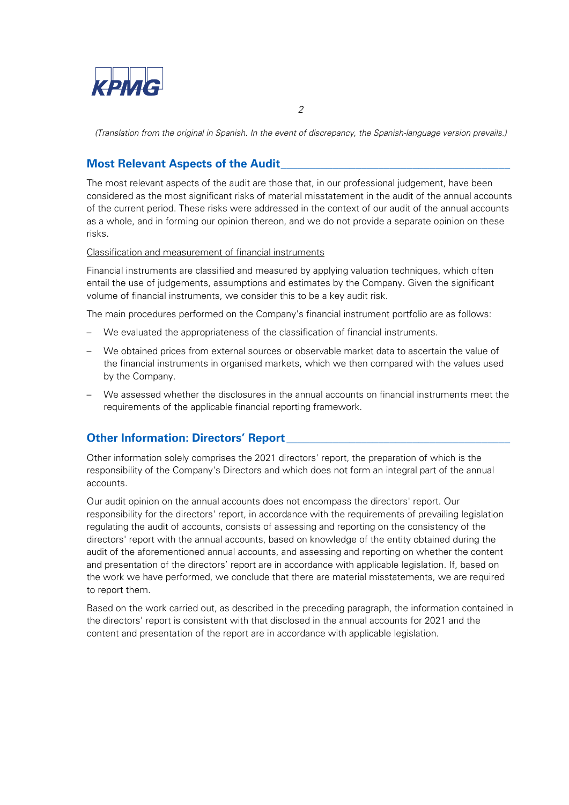

*(Translation from the original in Spanish. In the event of discrepancy, the Spanish-language version prevails.)*

# **Most Relevant Aspects of the Audit**

The most relevant aspects of the audit are those that, in our professional judgement, have been considered as the most significant risks of material misstatement in the audit of the annual accounts of the current period. These risks were addressed in the context of our audit of the annual accounts as a whole, and in forming our opinion thereon, and we do not provide a separate opinion on these risks.

Classification and measurement of financial instruments

Financial instruments are classified and measured by applying valuation techniques, which often entail the use of judgements, assumptions and estimates by the Company. Given the significant volume of financial instruments, we consider this to be a key audit risk.

The main procedures performed on the Company's financial instrument portfolio are as follows:

- We evaluated the appropriateness of the classification of financial instruments.
- We obtained prices from external sources or observable market data to ascertain the value of the financial instruments in organised markets, which we then compared with the values used by the Company.
- We assessed whether the disclosures in the annual accounts on financial instruments meet the requirements of the applicable financial reporting framework.

# **Other Information: Directors' Report \_\_**

Other information solely comprises the 2021 directors' report, the preparation of which is the responsibility of the Company's Directors and which does not form an integral part of the annual accounts.

Our audit opinion on the annual accounts does not encompass the directors' report. Our responsibility for the directors' report, in accordance with the requirements of prevailing legislation regulating the audit of accounts, consists of assessing and reporting on the consistency of the directors' report with the annual accounts, based on knowledge of the entity obtained during the audit of the aforementioned annual accounts, and assessing and reporting on whether the content and presentation of the directors' report are in accordance with applicable legislation. If, based on the work we have performed, we conclude that there are material misstatements, we are required to report them.

Based on the work carried out, as described in the preceding paragraph, the information contained in the directors' report is consistent with that disclosed in the annual accounts for 2021 and the content and presentation of the report are in accordance with applicable legislation.

*2*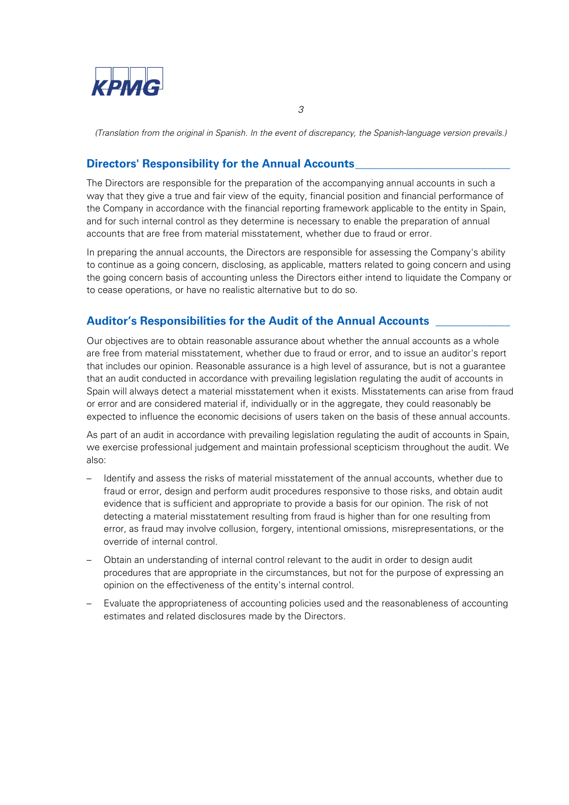

*(Translation from the original in Spanish. In the event of discrepancy, the Spanish-language version prevails.)*

# **Directors' Responsibility for the Annual Accounts**

The Directors are responsible for the preparation of the accompanying annual accounts in such a way that they give a true and fair view of the equity, financial position and financial performance of the Company in accordance with the financial reporting framework applicable to the entity in Spain, and for such internal control as they determine is necessary to enable the preparation of annual accounts that are free from material misstatement, whether due to fraud or error.

In preparing the annual accounts, the Directors are responsible for assessing the Company's ability to continue as a going concern, disclosing, as applicable, matters related to going concern and using the going concern basis of accounting unless the Directors either intend to liquidate the Company or to cease operations, or have no realistic alternative but to do so.

# **Auditor's Responsibilities for the Audit of the Annual Accounts \_\_\_\_\_\_\_\_\_\_\_\_\_**

Our objectives are to obtain reasonable assurance about whether the annual accounts as a whole are free from material misstatement, whether due to fraud or error, and to issue an auditor's report that includes our opinion. Reasonable assurance is a high level of assurance, but is not a guarantee that an audit conducted in accordance with prevailing legislation regulating the audit of accounts in Spain will always detect a material misstatement when it exists. Misstatements can arise from fraud or error and are considered material if, individually or in the aggregate, they could reasonably be expected to influence the economic decisions of users taken on the basis of these annual accounts.

As part of an audit in accordance with prevailing legislation regulating the audit of accounts in Spain, we exercise professional judgement and maintain professional scepticism throughout the audit. We also:

- Identify and assess the risks of material misstatement of the annual accounts, whether due to fraud or error, design and perform audit procedures responsive to those risks, and obtain audit evidence that is sufficient and appropriate to provide a basis for our opinion. The risk of not detecting a material misstatement resulting from fraud is higher than for one resulting from error, as fraud may involve collusion, forgery, intentional omissions, misrepresentations, or the override of internal control.
- Obtain an understanding of internal control relevant to the audit in order to design audit procedures that are appropriate in the circumstances, but not for the purpose of expressing an opinion on the effectiveness of the entity's internal control.
- Evaluate the appropriateness of accounting policies used and the reasonableness of accounting estimates and related disclosures made by the Directors.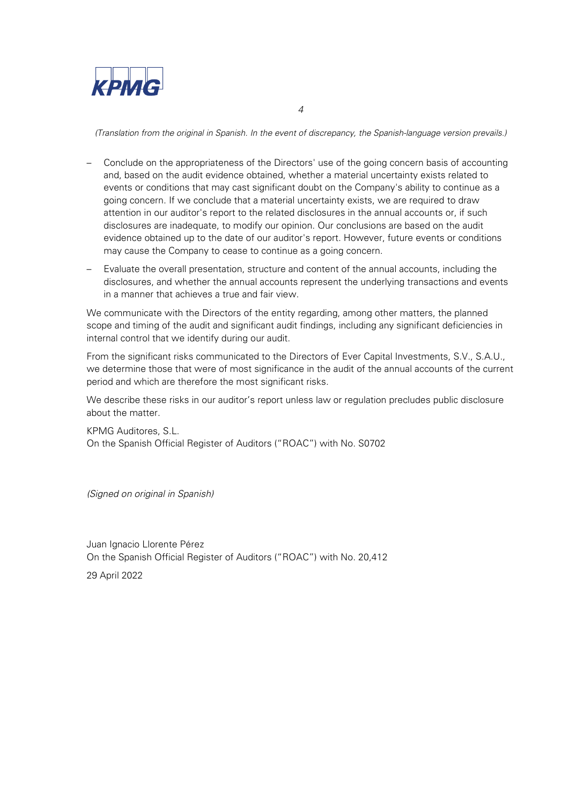

*(Translation from the original in Spanish. In the event of discrepancy, the Spanish-language version prevails.)*

- Conclude on the appropriateness of the Directors' use of the going concern basis of accounting and, based on the audit evidence obtained, whether a material uncertainty exists related to events or conditions that may cast significant doubt on the Company's ability to continue as a going concern. If we conclude that a material uncertainty exists, we are required to draw attention in our auditor's report to the related disclosures in the annual accounts or, if such disclosures are inadequate, to modify our opinion. Our conclusions are based on the audit evidence obtained up to the date of our auditor's report. However, future events or conditions may cause the Company to cease to continue as a going concern.
- Evaluate the overall presentation, structure and content of the annual accounts, including the disclosures, and whether the annual accounts represent the underlying transactions and events in a manner that achieves a true and fair view.

We communicate with the Directors of the entity regarding, among other matters, the planned scope and timing of the audit and significant audit findings, including any significant deficiencies in internal control that we identify during our audit.

From the significant risks communicated to the Directors of Ever Capital Investments, S.V., S.A.U., we determine those that were of most significance in the audit of the annual accounts of the current period and which are therefore the most significant risks.

We describe these risks in our auditor's report unless law or regulation precludes public disclosure about the matter.

KPMG Auditores, S.L. On the Spanish Official Register of Auditors ("ROAC") with No. S0702

*(Signed on original in Spanish)*

Juan Ignacio Llorente Pérez On the Spanish Official Register of Auditors ("ROAC") with No. 20,412

29 April 2022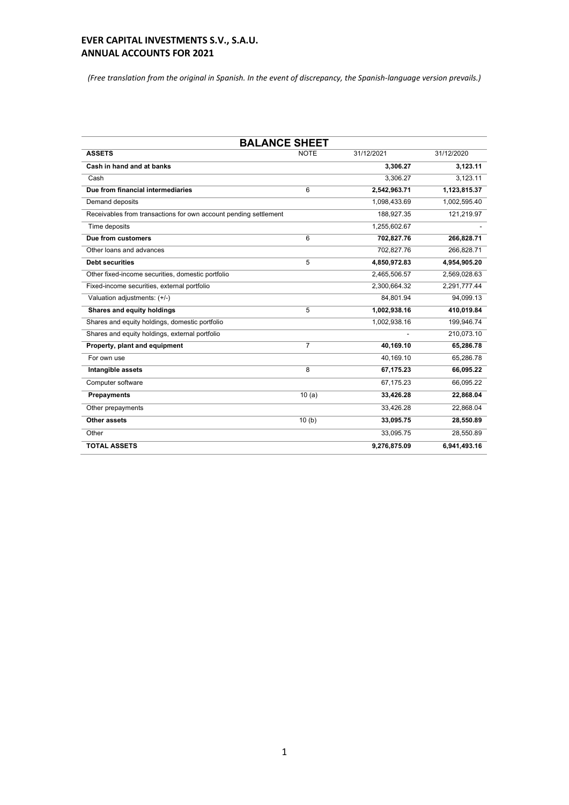*(Free translation from the original in Spanish. In the event of discrepancy, the Spanish-language version prevails.)*

| <b>BALANCE SHEET</b>                                             |                |              |              |  |
|------------------------------------------------------------------|----------------|--------------|--------------|--|
| <b>ASSETS</b>                                                    | <b>NOTE</b>    | 31/12/2021   | 31/12/2020   |  |
| Cash in hand and at banks                                        |                | 3.306.27     | 3.123.11     |  |
| Cash                                                             |                | 3.306.27     | 3.123.11     |  |
| Due from financial intermediaries                                | 6              | 2,542,963.71 | 1,123,815.37 |  |
| Demand deposits                                                  |                | 1,098,433.69 | 1,002,595.40 |  |
| Receivables from transactions for own account pending settlement |                | 188,927.35   | 121,219.97   |  |
| Time deposits                                                    |                | 1,255,602.67 |              |  |
| Due from customers                                               | 6              | 702,827.76   | 266,828.71   |  |
| Other loans and advances                                         |                | 702,827.76   | 266,828.71   |  |
| <b>Debt securities</b>                                           | 5              | 4,850,972.83 | 4,954,905.20 |  |
| Other fixed-income securities, domestic portfolio                |                | 2,465,506.57 | 2,569,028.63 |  |
| Fixed-income securities, external portfolio                      |                | 2,300,664.32 | 2,291,777.44 |  |
| Valuation adjustments: (+/-)                                     |                | 84,801.94    | 94,099.13    |  |
| Shares and equity holdings                                       | 5              | 1,002,938.16 | 410,019.84   |  |
| Shares and equity holdings, domestic portfolio                   |                | 1,002,938.16 | 199,946.74   |  |
| Shares and equity holdings, external portfolio                   |                |              | 210,073.10   |  |
| Property, plant and equipment                                    | $\overline{7}$ | 40,169.10    | 65,286.78    |  |
| For own use                                                      |                | 40,169.10    | 65,286.78    |  |
| Intangible assets                                                | 8              | 67,175.23    | 66,095.22    |  |
| Computer software                                                |                | 67,175.23    | 66,095.22    |  |
| <b>Prepayments</b>                                               | 10(a)          | 33,426.28    | 22,868.04    |  |
| Other prepayments                                                |                | 33,426.28    | 22,868.04    |  |
| Other assets                                                     | 10(b)          | 33,095.75    | 28,550.89    |  |
| Other                                                            |                | 33,095.75    | 28,550.89    |  |
| <b>TOTAL ASSETS</b>                                              |                | 9,276,875.09 | 6,941,493.16 |  |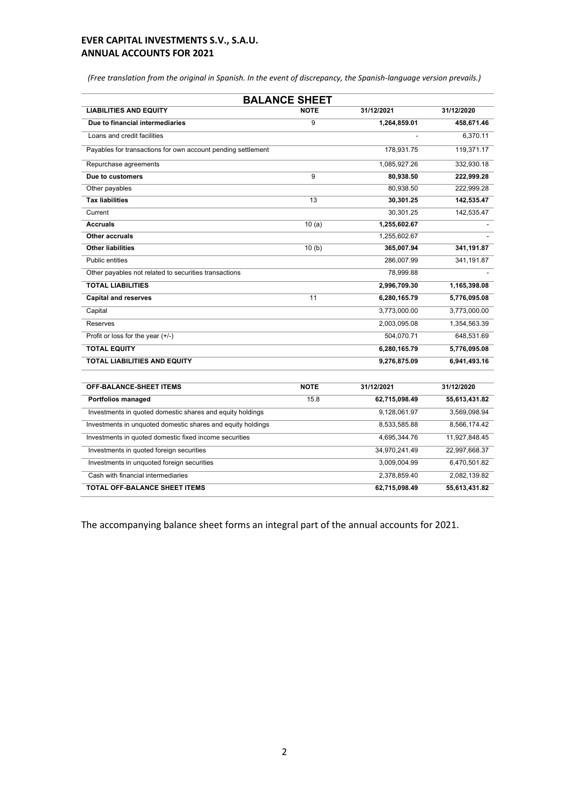*(Free translation from the original in Spanish. In the event of discrepancy, the Spanish-language version prevails.)*

| <b>BALANCE SHEET</b>                                         |             |               |               |  |
|--------------------------------------------------------------|-------------|---------------|---------------|--|
| <b>LIABILITIES AND EQUITY</b>                                | <b>NOTE</b> | 31/12/2021    | 31/12/2020    |  |
| Due to financial intermediaries                              | 9           | 1,264,859.01  | 458,671.46    |  |
| Loans and credit facilities                                  |             |               | 6,370.11      |  |
| Payables for transactions for own account pending settlement |             | 178,931.75    | 119,371.17    |  |
| Repurchase agreements                                        |             | 1,085,927.26  | 332,930.18    |  |
| Due to customers                                             | 9           | 80,938.50     | 222,999.28    |  |
| Other payables                                               |             | 80,938.50     | 222,999.28    |  |
| <b>Tax liabilities</b>                                       | 13          | 30,301.25     | 142,535.47    |  |
| Current                                                      |             | 30,301.25     | 142,535.47    |  |
| <b>Accruals</b>                                              | 10(a)       | 1,255,602.67  |               |  |
| Other accruals                                               |             | 1,255,602.67  |               |  |
| <b>Other liabilities</b>                                     | 10(b)       | 365,007.94    | 341,191.87    |  |
| Public entities                                              |             | 286,007.99    | 341,191.87    |  |
| Other payables not related to securities transactions        |             | 78,999.88     |               |  |
| <b>TOTAL LIABILITIES</b>                                     |             | 2,996,709.30  | 1,165,398.08  |  |
| <b>Capital and reserves</b>                                  | 11          | 6,280,165.79  | 5,776,095.08  |  |
| Capital                                                      |             | 3,773,000.00  | 3,773,000.00  |  |
| Reserves                                                     |             | 2,003,095.08  | 1,354,563.39  |  |
| Profit or loss for the year (+/-)                            |             | 504,070.71    | 648,531.69    |  |
| <b>TOTAL EQUITY</b>                                          |             | 6,280,165.79  | 5,776,095.08  |  |
| TOTAL LIABILITIES AND EQUITY                                 |             | 9,276,875.09  | 6,941,493.16  |  |
| <b>OFF-BALANCE-SHEET ITEMS</b>                               | <b>NOTE</b> | 31/12/2021    | 31/12/2020    |  |
| Portfolios managed                                           | 15.8        | 62,715,098.49 | 55,613,431.82 |  |
| Investments in quoted domestic shares and equity holdings    |             | 9,128,061.97  | 3,569,098.94  |  |
| Investments in unquoted domestic shares and equity holdings  |             | 8,533,585.88  | 8,566,174.42  |  |
| Investments in quoted domestic fixed income securities       |             | 4,695,344.76  | 11,927,848.45 |  |
| Investments in quoted foreign securities                     |             | 34,970,241.49 | 22,997,668.37 |  |
| Investments in unquoted foreign securities                   |             | 3,009,004.99  | 6,470,501.82  |  |
| Cash with financial intermediaries                           |             | 2,378,859.40  | 2,082,139.82  |  |
| <b>TOTAL OFF-BALANCE SHEET ITEMS</b>                         |             | 62,715,098.49 | 55,613,431.82 |  |

The accompanying balance sheet forms an integral part of the annual accounts for 2021.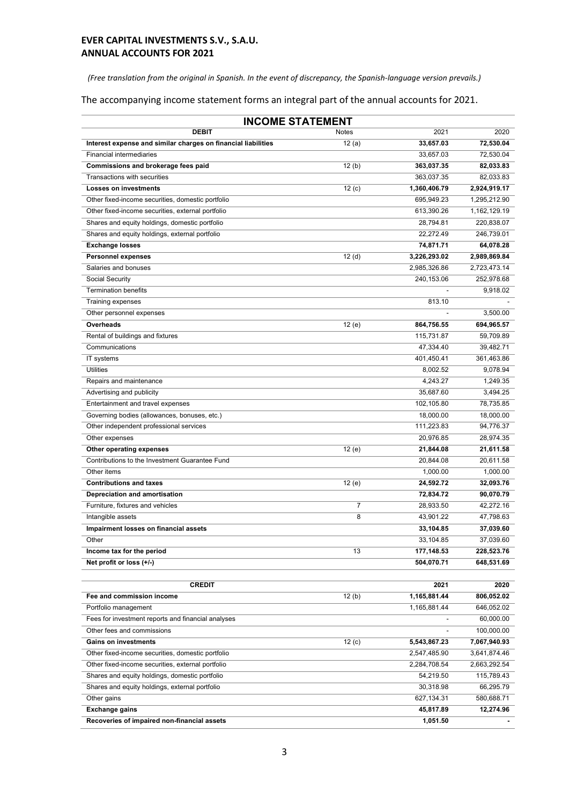*(Free translation from the original in Spanish. In the event of discrepancy, the Spanish-language version prevails.)*

The accompanying income statement forms an integral part of the annual accounts for 2021.

| <b>INCOME STATEMENT</b>                                                                          |                    |                        |                         |  |
|--------------------------------------------------------------------------------------------------|--------------------|------------------------|-------------------------|--|
| <b>DEBIT</b>                                                                                     | Notes              | 2021                   | 2020                    |  |
| Interest expense and similar charges on financial liabilities                                    | $\overline{12(a)}$ | 33,657.03              | 72,530.04               |  |
| <b>Financial intermediaries</b>                                                                  |                    | 33,657.03              | 72,530.04               |  |
| Commissions and brokerage fees paid                                                              | 12(b)              | 363,037.35             | 82,033.83               |  |
| Transactions with securities                                                                     |                    | 363,037.35             | 82,033.83               |  |
| <b>Losses on investments</b>                                                                     | 12(c)              | 1,360,406.79           | 2,924,919.17            |  |
| Other fixed-income securities, domestic portfolio                                                |                    | 695,949.23             | 1,295,212.90            |  |
| Other fixed-income securities, external portfolio                                                |                    | 613,390.26             | 1,162,129.19            |  |
| Shares and equity holdings, domestic portfolio                                                   |                    | 28,794.81              | 220,838.07              |  |
| Shares and equity holdings, external portfolio                                                   |                    | 22,272.49              | 246,739.01              |  |
| <b>Exchange losses</b>                                                                           |                    | 74,871.71              | 64,078.28               |  |
| <b>Personnel expenses</b>                                                                        | 12 <sub>(d)</sub>  | 3,226,293.02           | 2,989,869.84            |  |
| Salaries and bonuses                                                                             |                    | 2,985,326.86           | 2,723,473.14            |  |
| Social Security                                                                                  |                    | 240,153.06             | 252,978.68              |  |
| <b>Termination benefits</b>                                                                      |                    |                        | 9,918.02                |  |
| <b>Training expenses</b>                                                                         |                    | 813.10                 |                         |  |
| Other personnel expenses                                                                         |                    |                        | 3,500.00                |  |
| Overheads                                                                                        | 12 (e)             | 864,756.55             | 694,965.57              |  |
| Rental of buildings and fixtures                                                                 |                    | 115,731.87             | 59,709.89               |  |
| Communications                                                                                   |                    | 47,334.40              | 39,482.71               |  |
| IT systems                                                                                       |                    | 401,450.41             | 361,463.86              |  |
| <b>Utilities</b>                                                                                 |                    | 8,002.52               | 9,078.94                |  |
| Repairs and maintenance                                                                          |                    | 4,243.27               | 1,249.35                |  |
| Advertising and publicity                                                                        |                    | 35,687.60              | 3,494.25                |  |
| Entertainment and travel expenses                                                                |                    | 102,105.80             | 78,735.85               |  |
| Governing bodies (allowances, bonuses, etc.)                                                     |                    | 18,000.00              | 18,000.00               |  |
| Other independent professional services                                                          |                    | 111,223.83             | 94,776.37               |  |
| Other expenses                                                                                   |                    | 20,976.85              | 28,974.35               |  |
| Other operating expenses                                                                         | 12(e)              | 21,844.08              | 21,611.58               |  |
| Contributions to the Investment Guarantee Fund                                                   |                    | 20,844.08              | 20,611.58               |  |
| Other items                                                                                      |                    | 1,000.00               | 1,000.00                |  |
| <b>Contributions and taxes</b>                                                                   | 12 (e)             | 24,592.72              | 32,093.76               |  |
| Depreciation and amortisation                                                                    |                    | 72,834.72              | 90,070.79               |  |
| Furniture, fixtures and vehicles                                                                 | $\overline{7}$     | 28,933.50              | 42,272.16               |  |
| Intangible assets                                                                                | 8                  | 43,901.22              | 47,798.63               |  |
| Impairment losses on financial assets                                                            |                    | 33,104.85              | 37,039.60               |  |
| Other                                                                                            |                    | 33,104.85              | 37,039.60               |  |
| Income tax for the period                                                                        | 13                 | 177,148.53             | 228,523.76              |  |
| Net profit or loss (+/-)                                                                         |                    | 504,070.71             | 648,531.69              |  |
|                                                                                                  |                    |                        |                         |  |
| <b>CREDIT</b>                                                                                    |                    | 2021                   | 2020                    |  |
| Fee and commission income                                                                        | 12(b)              | 1,165,881.44           | 806,052.02              |  |
| Portfolio management                                                                             |                    | 1,165,881.44           | 646,052.02              |  |
| Fees for investment reports and financial analyses                                               |                    |                        | 60,000.00               |  |
| Other fees and commissions                                                                       |                    |                        | 100,000.00              |  |
| <b>Gains on investments</b>                                                                      | 12(c)              | 5,543,867.23           | 7,067,940.93            |  |
| Other fixed-income securities, domestic portfolio                                                |                    | 2,547,485.90           | 3,641,874.46            |  |
| Other fixed-income securities, external portfolio                                                |                    | 2,284,708.54           | 2,663,292.54            |  |
|                                                                                                  |                    |                        |                         |  |
| Shares and equity holdings, domestic portfolio<br>Shares and equity holdings, external portfolio |                    | 54,219.50<br>30,318.98 | 115,789.43              |  |
| Other gains                                                                                      |                    | 627,134.31             | 66,295.79<br>580,688.71 |  |
| <b>Exchange gains</b>                                                                            |                    | 45,817.89              | 12,274.96               |  |
| Recoveries of impaired non-financial assets                                                      |                    | 1,051.50               |                         |  |
|                                                                                                  |                    |                        |                         |  |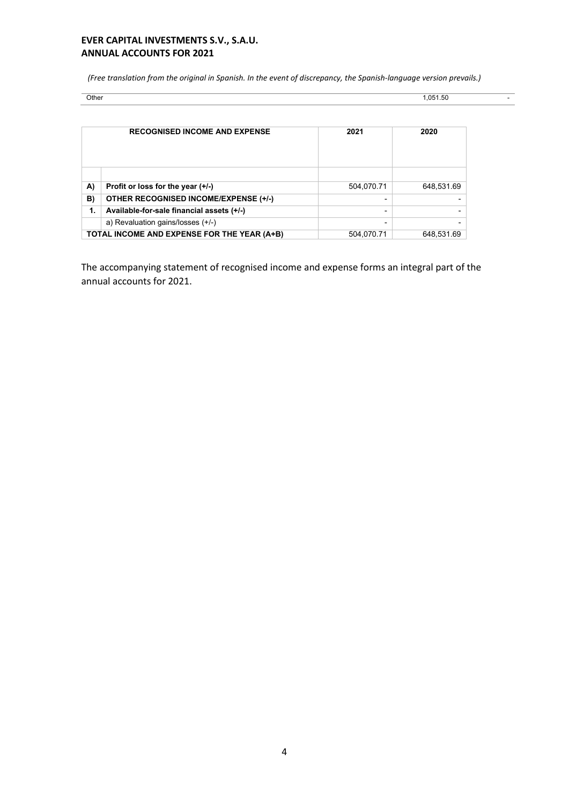*(Free translation from the original in Spanish. In the event of discrepancy, the Spanish-language version prevails.)*

| Other  | .051.50 |
|--------|---------|
| $   -$ | .       |

| <b>RECOGNISED INCOME AND EXPENSE</b> |                                              | 2021       | 2020       |
|--------------------------------------|----------------------------------------------|------------|------------|
|                                      |                                              |            |            |
| A)                                   | Profit or loss for the year $(+/-)$          | 504,070.71 | 648,531.69 |
| B)                                   | <b>OTHER RECOGNISED INCOME/EXPENSE (+/-)</b> |            |            |
| 1.                                   | Available-for-sale financial assets (+/-)    |            |            |
|                                      | a) Revaluation gains/losses (+/-)            |            |            |
|                                      | TOTAL INCOME AND EXPENSE FOR THE YEAR (A+B)  | 504,070.71 | 648,531.69 |

The accompanying statement of recognised income and expense forms an integral part of the annual accounts for 2021.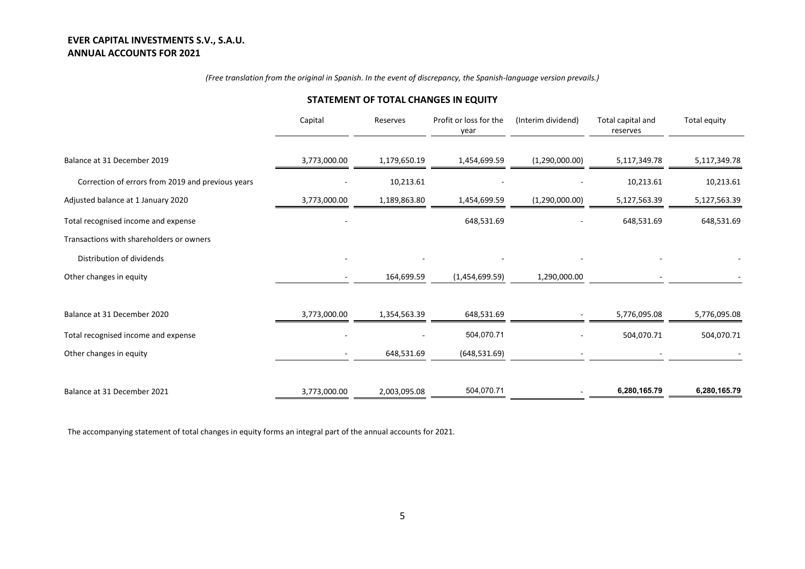#### *(Free translation from the original in Spanish. In the event of discrepancy, the Spanish-language version prevails.)*

# Capital Reserves Profit or loss for the year (Interim dividend) Total capital and reserves Total equity Balance at 31 December 2019 **3,773,000.00** 3,773,000.00 1,179,650.19 1,454,699.59 (1,290,000.00) 5,117,349.78 5,117,349.78 Correction of errors from 2019 and previous years **10,213.61** 10,213.61 10,213.61 10,213.61 10,213.61 10,213.61 Adjusted balance at 1 January 2020 3,773,000.00 3,773,000.00 1,189,863.80 1,454,699.59 (1,290,000.00) 5,127,563.39 5,127,563.39 Total recognised income and expense Transactions with shareholders or owners - 648,531.69 - 648,531.69 648,531.69 Distribution of dividends - - - - - - Other changes in equity and the same control of the state of the state of the state of the state of the state of the state of the state of the state of the state of the state of the state of the state of the state of the s Balance at 31 December 2020 **3000 1,354,563.39** 648,531.69 5,776,095.08 5,776,095.08 5,776,095.08 5,776,095.08 Total recognised income and expense and expense and the state of the state of the state of the state of the state of the state of the state of the state of the state of the state of the state of the state of the state of t Other changes in equity **COLOGY 2006** - 648,531.69 (648,531.69) - 648,631.69 (648,531.69) Balance at 31 December 2021 **6,280,165.79** 3,773,000.00 2,003,095.08 504,070.71 **- 6,280,165.79 6,280,165.79** 6,280,165.79

#### **STATEMENT OF TOTAL CHANGES IN EQUITY**

The accompanying statement of total changes in equity forms an integral part of the annual accounts for 2021.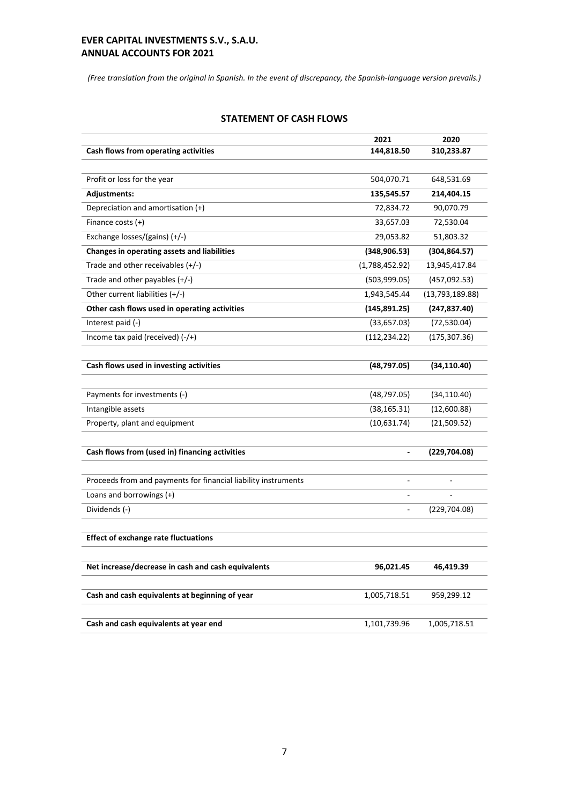*(Free translation from the original in Spanish. In the event of discrepancy, the Spanish-language version prevails.)*

|                                                                | 2021           | 2020            |
|----------------------------------------------------------------|----------------|-----------------|
| Cash flows from operating activities                           | 144,818.50     | 310,233.87      |
|                                                                |                |                 |
| Profit or loss for the year                                    | 504,070.71     | 648,531.69      |
| <b>Adjustments:</b>                                            | 135,545.57     | 214,404.15      |
| Depreciation and amortisation (+)                              | 72,834.72      | 90,070.79       |
| Finance costs $(+)$                                            | 33,657.03      | 72,530.04       |
| Exchange losses/(gains) $(+/-)$                                | 29,053.82      | 51,803.32       |
| Changes in operating assets and liabilities                    | (348, 906.53)  | (304, 864.57)   |
| Trade and other receivables (+/-)                              | (1,788,452.92) | 13,945,417.84   |
| Trade and other payables (+/-)                                 | (503,999.05)   | (457,092.53)    |
| Other current liabilities $(+/-)$                              | 1,943,545.44   | (13,793,189.88) |
| Other cash flows used in operating activities                  | (145,891.25)   | (247, 837.40)   |
| Interest paid (-)                                              | (33,657.03)    | (72, 530.04)    |
| Income tax paid (received) $(-/+)$                             | (112, 234.22)  | (175, 307.36)   |
|                                                                |                |                 |
| Cash flows used in investing activities                        | (48, 797.05)   | (34, 110.40)    |
|                                                                |                |                 |
| Payments for investments (-)                                   | (48, 797.05)   | (34, 110.40)    |
| Intangible assets                                              | (38, 165.31)   | (12,600.88)     |
| Property, plant and equipment                                  | (10,631.74)    | (21, 509.52)    |
| Cash flows from (used in) financing activities                 |                | (229, 704.08)   |
| Proceeds from and payments for financial liability instruments |                |                 |
| Loans and borrowings $(+)$                                     |                |                 |
| Dividends (-)                                                  |                | (229, 704.08)   |
|                                                                |                |                 |
| <b>Effect of exchange rate fluctuations</b>                    |                |                 |
| Net increase/decrease in cash and cash equivalents             | 96,021.45      | 46,419.39       |
|                                                                |                |                 |
| Cash and cash equivalents at beginning of year                 | 1,005,718.51   | 959,299.12      |
|                                                                |                |                 |
| Cash and cash equivalents at year end                          | 1,101,739.96   | 1,005,718.51    |

#### **STATEMENT OF CASH FLOWS**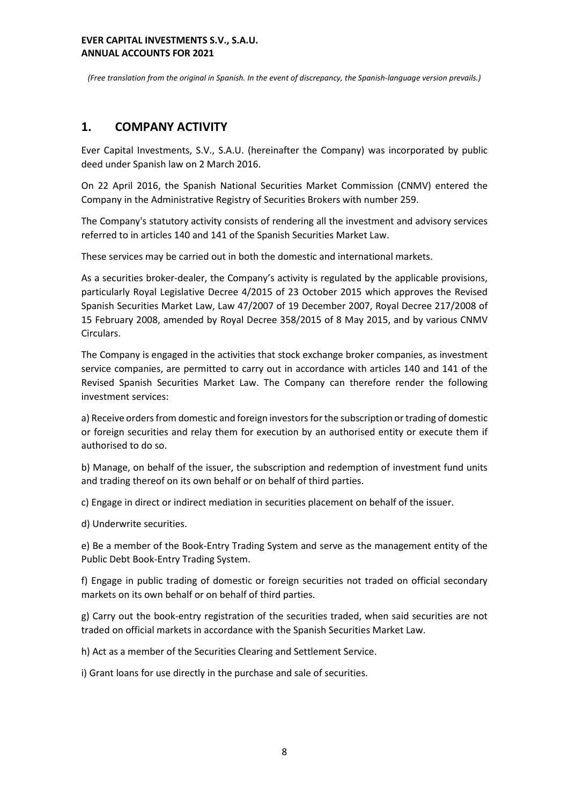*(Free translation from the original in Spanish. In the event of discrepancy, the Spanish-language version prevails.)*

# **1. COMPANY ACTIVITY**

Ever Capital Investments, S.V., S.A.U. (hereinafter the Company) was incorporated by public deed under Spanish law on 2 March 2016.

On 22 April 2016, the Spanish National Securities Market Commission (CNMV) entered the Company in the Administrative Registry of Securities Brokers with number 259.

The Company's statutory activity consists of rendering all the investment and advisory services referred to in articles 140 and 141 of the Spanish Securities Market Law.

These services may be carried out in both the domestic and international markets.

As a securities broker-dealer, the Company's activity is regulated by the applicable provisions, particularly Royal Legislative Decree 4/2015 of 23 October 2015 which approves the Revised Spanish Securities Market Law, Law 47/2007 of 19 December 2007, Royal Decree 217/2008 of 15 February 2008, amended by Royal Decree 358/2015 of 8 May 2015, and by various CNMV Circulars.

The Company is engaged in the activities that stock exchange broker companies, as investment service companies, are permitted to carry out in accordance with articles 140 and 141 of the Revised Spanish Securities Market Law. The Company can therefore render the following investment services:

a) Receive orders from domestic and foreign investors for the subscription or trading of domestic or foreign securities and relay them for execution by an authorised entity or execute them if authorised to do so.

b) Manage, on behalf of the issuer, the subscription and redemption of investment fund units and trading thereof on its own behalf or on behalf of third parties.

c) Engage in direct or indirect mediation in securities placement on behalf of the issuer.

d) Underwrite securities.

e) Be a member of the Book-Entry Trading System and serve as the management entity of the Public Debt Book-Entry Trading System.

f) Engage in public trading of domestic or foreign securities not traded on official secondary markets on its own behalf or on behalf of third parties.

g) Carry out the book-entry registration of the securities traded, when said securities are not traded on official markets in accordance with the Spanish Securities Market Law.

h) Act as a member of the Securities Clearing and Settlement Service.

i) Grant loans for use directly in the purchase and sale of securities.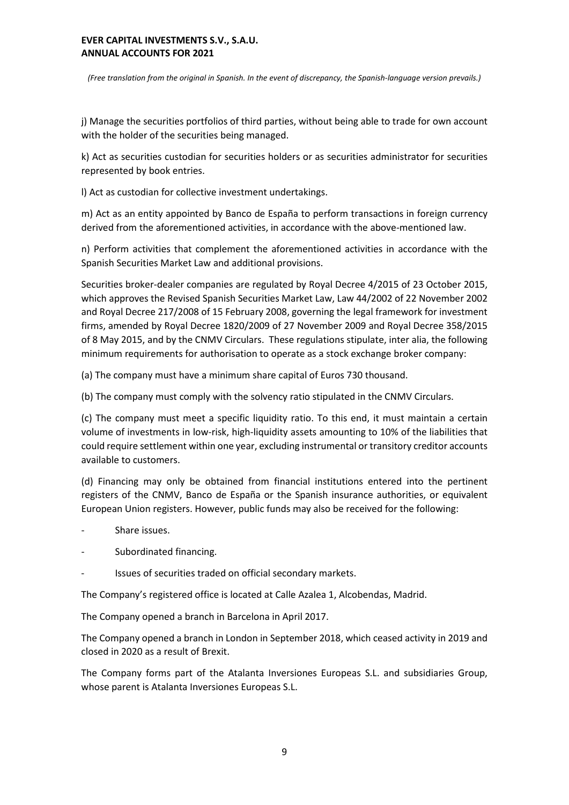*(Free translation from the original in Spanish. In the event of discrepancy, the Spanish-language version prevails.)*

j) Manage the securities portfolios of third parties, without being able to trade for own account with the holder of the securities being managed.

k) Act as securities custodian for securities holders or as securities administrator for securities represented by book entries.

l) Act as custodian for collective investment undertakings.

m) Act as an entity appointed by Banco de España to perform transactions in foreign currency derived from the aforementioned activities, in accordance with the above-mentioned law.

n) Perform activities that complement the aforementioned activities in accordance with the Spanish Securities Market Law and additional provisions.

Securities broker-dealer companies are regulated by Royal Decree 4/2015 of 23 October 2015, which approves the Revised Spanish Securities Market Law, Law 44/2002 of 22 November 2002 and Royal Decree 217/2008 of 15 February 2008, governing the legal framework for investment firms, amended by Royal Decree 1820/2009 of 27 November 2009 and Royal Decree 358/2015 of 8 May 2015, and by the CNMV Circulars. These regulations stipulate, inter alia, the following minimum requirements for authorisation to operate as a stock exchange broker company:

(a) The company must have a minimum share capital of Euros 730 thousand.

(b) The company must comply with the solvency ratio stipulated in the CNMV Circulars.

(c) The company must meet a specific liquidity ratio. To this end, it must maintain a certain volume of investments in low-risk, high-liquidity assets amounting to 10% of the liabilities that could require settlement within one year, excluding instrumental or transitory creditor accounts available to customers.

(d) Financing may only be obtained from financial institutions entered into the pertinent registers of the CNMV, Banco de España or the Spanish insurance authorities, or equivalent European Union registers. However, public funds may also be received for the following:

- Share issues.
- Subordinated financing.
- Issues of securities traded on official secondary markets.

The Company's registered office is located at Calle Azalea 1, Alcobendas, Madrid.

The Company opened a branch in Barcelona in April 2017.

The Company opened a branch in London in September 2018, which ceased activity in 2019 and closed in 2020 as a result of Brexit.

The Company forms part of the Atalanta Inversiones Europeas S.L. and subsidiaries Group, whose parent is Atalanta Inversiones Europeas S.L.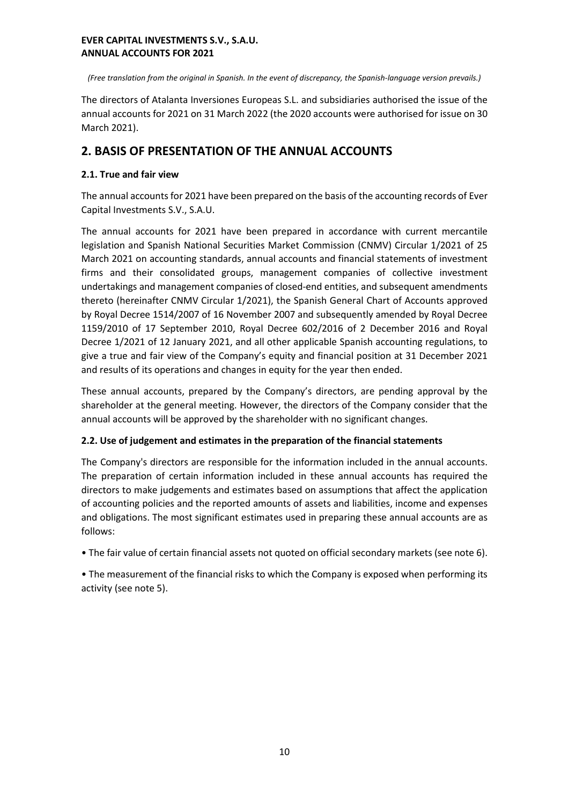*(Free translation from the original in Spanish. In the event of discrepancy, the Spanish-language version prevails.)*

The directors of Atalanta Inversiones Europeas S.L. and subsidiaries authorised the issue of the annual accounts for 2021 on 31 March 2022 (the 2020 accounts were authorised for issue on 30 March 2021).

# **2. BASIS OF PRESENTATION OF THE ANNUAL ACCOUNTS**

# **2.1. True and fair view**

The annual accounts for 2021 have been prepared on the basis of the accounting records of Ever Capital Investments S.V., S.A.U.

The annual accounts for 2021 have been prepared in accordance with current mercantile legislation and Spanish National Securities Market Commission (CNMV) Circular 1/2021 of 25 March 2021 on accounting standards, annual accounts and financial statements of investment firms and their consolidated groups, management companies of collective investment undertakings and management companies of closed-end entities, and subsequent amendments thereto (hereinafter CNMV Circular 1/2021), the Spanish General Chart of Accounts approved by Royal Decree 1514/2007 of 16 November 2007 and subsequently amended by Royal Decree 1159/2010 of 17 September 2010, Royal Decree 602/2016 of 2 December 2016 and Royal Decree 1/2021 of 12 January 2021, and all other applicable Spanish accounting regulations, to give a true and fair view of the Company's equity and financial position at 31 December 2021 and results of its operations and changes in equity for the year then ended.

These annual accounts, prepared by the Company's directors, are pending approval by the shareholder at the general meeting. However, the directors of the Company consider that the annual accounts will be approved by the shareholder with no significant changes.

# **2.2. Use of judgement and estimates in the preparation of the financial statements**

The Company's directors are responsible for the information included in the annual accounts. The preparation of certain information included in these annual accounts has required the directors to make judgements and estimates based on assumptions that affect the application of accounting policies and the reported amounts of assets and liabilities, income and expenses and obligations. The most significant estimates used in preparing these annual accounts are as follows:

• The fair value of certain financial assets not quoted on official secondary markets (see note 6).

• The measurement of the financial risks to which the Company is exposed when performing its activity (see note 5).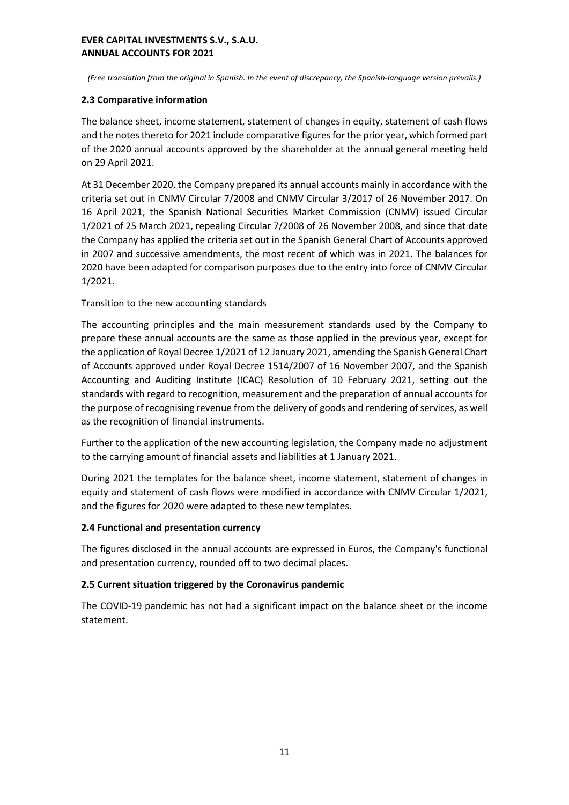*(Free translation from the original in Spanish. In the event of discrepancy, the Spanish-language version prevails.)*

# **2.3 Comparative information**

The balance sheet, income statement, statement of changes in equity, statement of cash flows and the notes thereto for 2021 include comparative figures for the prior year, which formed part of the 2020 annual accounts approved by the shareholder at the annual general meeting held on 29 April 2021.

At 31 December 2020, the Company prepared its annual accounts mainly in accordance with the criteria set out in CNMV Circular 7/2008 and CNMV Circular 3/2017 of 26 November 2017. On 16 April 2021, the Spanish National Securities Market Commission (CNMV) issued Circular 1/2021 of 25 March 2021, repealing Circular 7/2008 of 26 November 2008, and since that date the Company has applied the criteria set out in the Spanish General Chart of Accounts approved in 2007 and successive amendments, the most recent of which was in 2021. The balances for 2020 have been adapted for comparison purposes due to the entry into force of CNMV Circular 1/2021.

# Transition to the new accounting standards

The accounting principles and the main measurement standards used by the Company to prepare these annual accounts are the same as those applied in the previous year, except for the application of Royal Decree 1/2021 of 12 January 2021, amending the Spanish General Chart of Accounts approved under Royal Decree 1514/2007 of 16 November 2007, and the Spanish Accounting and Auditing Institute (ICAC) Resolution of 10 February 2021, setting out the standards with regard to recognition, measurement and the preparation of annual accounts for the purpose of recognising revenue from the delivery of goods and rendering of services, as well as the recognition of financial instruments.

Further to the application of the new accounting legislation, the Company made no adjustment to the carrying amount of financial assets and liabilities at 1 January 2021.

During 2021 the templates for the balance sheet, income statement, statement of changes in equity and statement of cash flows were modified in accordance with CNMV Circular 1/2021, and the figures for 2020 were adapted to these new templates.

#### **2.4 Functional and presentation currency**

The figures disclosed in the annual accounts are expressed in Euros, the Company's functional and presentation currency, rounded off to two decimal places.

#### **2.5 Current situation triggered by the Coronavirus pandemic**

The COVID-19 pandemic has not had a significant impact on the balance sheet or the income statement.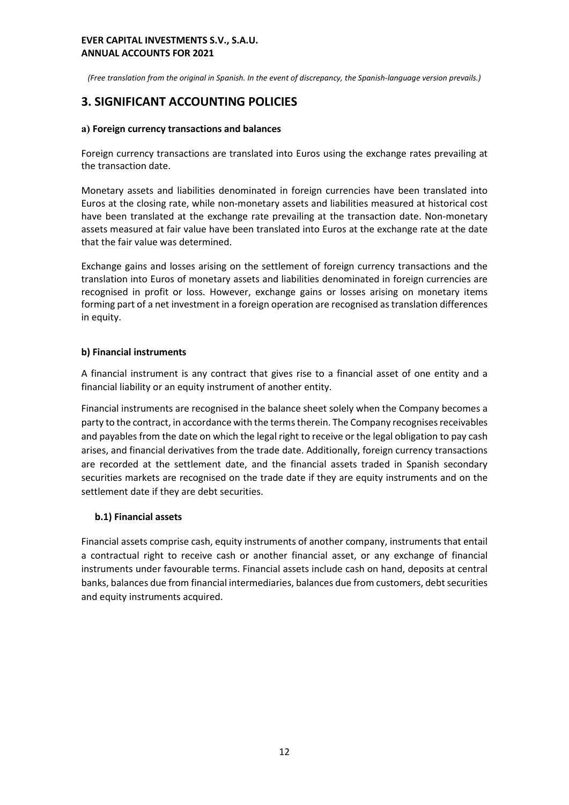*(Free translation from the original in Spanish. In the event of discrepancy, the Spanish-language version prevails.)*

# **3. SIGNIFICANT ACCOUNTING POLICIES**

## **a) Foreign currency transactions and balances**

Foreign currency transactions are translated into Euros using the exchange rates prevailing at the transaction date.

Monetary assets and liabilities denominated in foreign currencies have been translated into Euros at the closing rate, while non-monetary assets and liabilities measured at historical cost have been translated at the exchange rate prevailing at the transaction date. Non-monetary assets measured at fair value have been translated into Euros at the exchange rate at the date that the fair value was determined.

Exchange gains and losses arising on the settlement of foreign currency transactions and the translation into Euros of monetary assets and liabilities denominated in foreign currencies are recognised in profit or loss. However, exchange gains or losses arising on monetary items forming part of a net investment in a foreign operation are recognised as translation differences in equity.

# **b) Financial instruments**

A financial instrument is any contract that gives rise to a financial asset of one entity and a financial liability or an equity instrument of another entity.

Financial instruments are recognised in the balance sheet solely when the Company becomes a party to the contract, in accordance with the terms therein. The Company recognises receivables and payables from the date on which the legal right to receive or the legal obligation to pay cash arises, and financial derivatives from the trade date. Additionally, foreign currency transactions are recorded at the settlement date, and the financial assets traded in Spanish secondary securities markets are recognised on the trade date if they are equity instruments and on the settlement date if they are debt securities.

# **b.1) Financial assets**

Financial assets comprise cash, equity instruments of another company, instruments that entail a contractual right to receive cash or another financial asset, or any exchange of financial instruments under favourable terms. Financial assets include cash on hand, deposits at central banks, balances due from financial intermediaries, balances due from customers, debt securities and equity instruments acquired.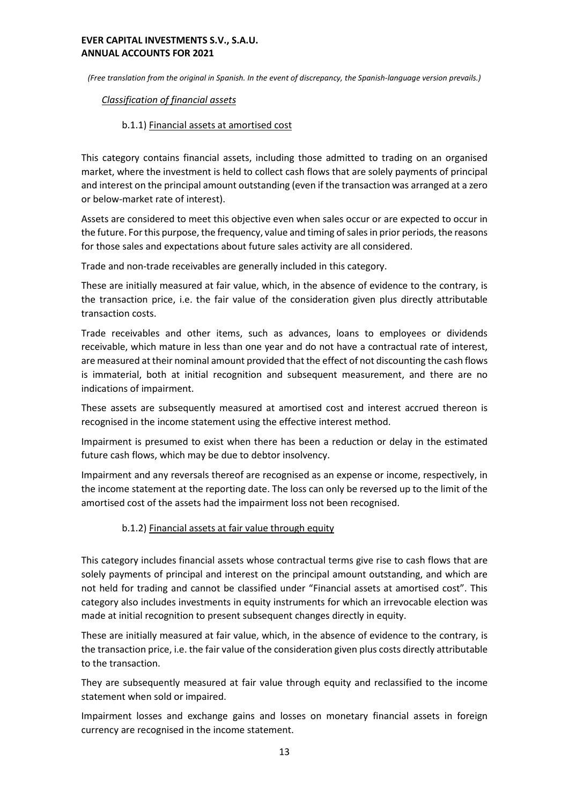*(Free translation from the original in Spanish. In the event of discrepancy, the Spanish-language version prevails.)*

## *Classification of financial assets*

# b.1.1) Financial assets at amortised cost

This category contains financial assets, including those admitted to trading on an organised market, where the investment is held to collect cash flows that are solely payments of principal and interest on the principal amount outstanding (even if the transaction was arranged at a zero or below-market rate of interest).

Assets are considered to meet this objective even when sales occur or are expected to occur in the future. For this purpose, the frequency, value and timing of sales in prior periods, the reasons for those sales and expectations about future sales activity are all considered.

Trade and non-trade receivables are generally included in this category.

These are initially measured at fair value, which, in the absence of evidence to the contrary, is the transaction price, i.e. the fair value of the consideration given plus directly attributable transaction costs.

Trade receivables and other items, such as advances, loans to employees or dividends receivable, which mature in less than one year and do not have a contractual rate of interest, are measured at their nominal amount provided that the effect of not discounting the cash flows is immaterial, both at initial recognition and subsequent measurement, and there are no indications of impairment.

These assets are subsequently measured at amortised cost and interest accrued thereon is recognised in the income statement using the effective interest method.

Impairment is presumed to exist when there has been a reduction or delay in the estimated future cash flows, which may be due to debtor insolvency.

Impairment and any reversals thereof are recognised as an expense or income, respectively, in the income statement at the reporting date. The loss can only be reversed up to the limit of the amortised cost of the assets had the impairment loss not been recognised.

# b.1.2) Financial assets at fair value through equity

This category includes financial assets whose contractual terms give rise to cash flows that are solely payments of principal and interest on the principal amount outstanding, and which are not held for trading and cannot be classified under "Financial assets at amortised cost". This category also includes investments in equity instruments for which an irrevocable election was made at initial recognition to present subsequent changes directly in equity.

These are initially measured at fair value, which, in the absence of evidence to the contrary, is the transaction price, i.e. the fair value of the consideration given plus costs directly attributable to the transaction.

They are subsequently measured at fair value through equity and reclassified to the income statement when sold or impaired.

Impairment losses and exchange gains and losses on monetary financial assets in foreign currency are recognised in the income statement.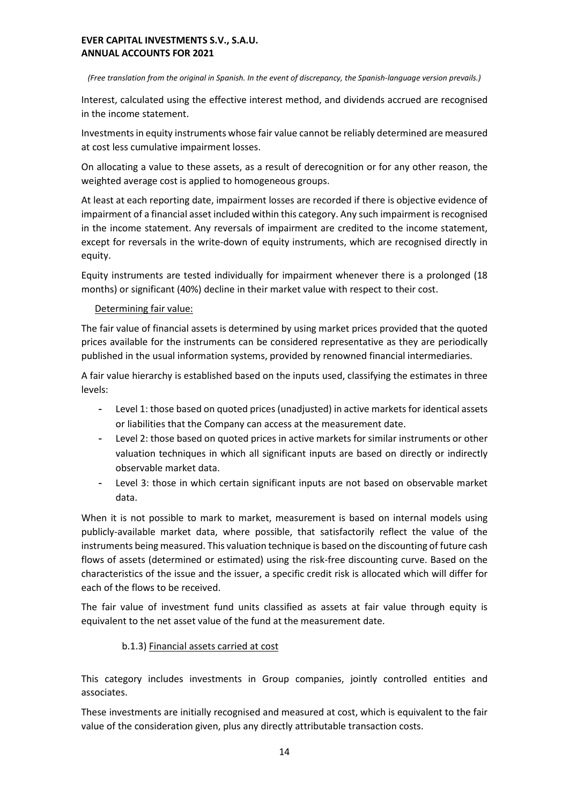#### *(Free translation from the original in Spanish. In the event of discrepancy, the Spanish-language version prevails.)*

Interest, calculated using the effective interest method, and dividends accrued are recognised in the income statement.

Investments in equity instruments whose fair value cannot be reliably determined are measured at cost less cumulative impairment losses.

On allocating a value to these assets, as a result of derecognition or for any other reason, the weighted average cost is applied to homogeneous groups.

At least at each reporting date, impairment losses are recorded if there is objective evidence of impairment of a financial asset included within this category. Any such impairment is recognised in the income statement. Any reversals of impairment are credited to the income statement, except for reversals in the write-down of equity instruments, which are recognised directly in equity.

Equity instruments are tested individually for impairment whenever there is a prolonged (18 months) or significant (40%) decline in their market value with respect to their cost.

# Determining fair value:

The fair value of financial assets is determined by using market prices provided that the quoted prices available for the instruments can be considered representative as they are periodically published in the usual information systems, provided by renowned financial intermediaries.

A fair value hierarchy is established based on the inputs used, classifying the estimates in three levels:

- Level 1: those based on quoted prices (unadjusted) in active markets for identical assets or liabilities that the Company can access at the measurement date.
- Level 2: those based on quoted prices in active markets for similar instruments or other valuation techniques in which all significant inputs are based on directly or indirectly observable market data.
- Level 3: those in which certain significant inputs are not based on observable market data.

When it is not possible to mark to market, measurement is based on internal models using publicly-available market data, where possible, that satisfactorily reflect the value of the instruments being measured. This valuation technique is based on the discounting of future cash flows of assets (determined or estimated) using the risk-free discounting curve. Based on the characteristics of the issue and the issuer, a specific credit risk is allocated which will differ for each of the flows to be received.

The fair value of investment fund units classified as assets at fair value through equity is equivalent to the net asset value of the fund at the measurement date.

# b.1.3) Financial assets carried at cost

This category includes investments in Group companies, jointly controlled entities and associates.

These investments are initially recognised and measured at cost, which is equivalent to the fair value of the consideration given, plus any directly attributable transaction costs.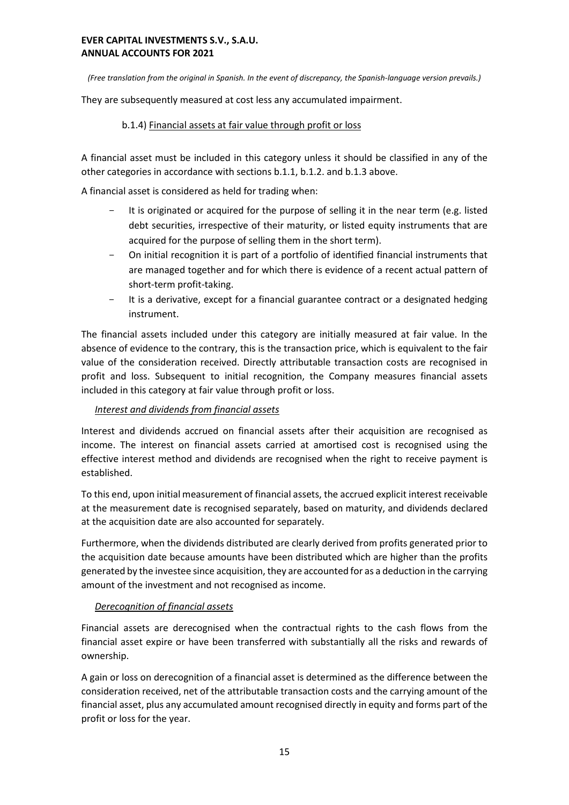*(Free translation from the original in Spanish. In the event of discrepancy, the Spanish-language version prevails.)*

They are subsequently measured at cost less any accumulated impairment.

# b.1.4) Financial assets at fair value through profit or loss

A financial asset must be included in this category unless it should be classified in any of the other categories in accordance with sections b.1.1, b.1.2. and b.1.3 above.

A financial asset is considered as held for trading when:

- It is originated or acquired for the purpose of selling it in the near term (e.g. listed debt securities, irrespective of their maturity, or listed equity instruments that are acquired for the purpose of selling them in the short term).
- On initial recognition it is part of a portfolio of identified financial instruments that are managed together and for which there is evidence of a recent actual pattern of short-term profit-taking.
- It is a derivative, except for a financial guarantee contract or a designated hedging instrument.

The financial assets included under this category are initially measured at fair value. In the absence of evidence to the contrary, this is the transaction price, which is equivalent to the fair value of the consideration received. Directly attributable transaction costs are recognised in profit and loss. Subsequent to initial recognition, the Company measures financial assets included in this category at fair value through profit or loss.

# *Interest and dividends from financial assets*

Interest and dividends accrued on financial assets after their acquisition are recognised as income. The interest on financial assets carried at amortised cost is recognised using the effective interest method and dividends are recognised when the right to receive payment is established.

To this end, upon initial measurement of financial assets, the accrued explicit interest receivable at the measurement date is recognised separately, based on maturity, and dividends declared at the acquisition date are also accounted for separately.

Furthermore, when the dividends distributed are clearly derived from profits generated prior to the acquisition date because amounts have been distributed which are higher than the profits generated by the investee since acquisition, they are accounted for as a deduction in the carrying amount of the investment and not recognised as income.

#### *Derecognition of financial assets*

Financial assets are derecognised when the contractual rights to the cash flows from the financial asset expire or have been transferred with substantially all the risks and rewards of ownership.

A gain or loss on derecognition of a financial asset is determined as the difference between the consideration received, net of the attributable transaction costs and the carrying amount of the financial asset, plus any accumulated amount recognised directly in equity and forms part of the profit or loss for the year.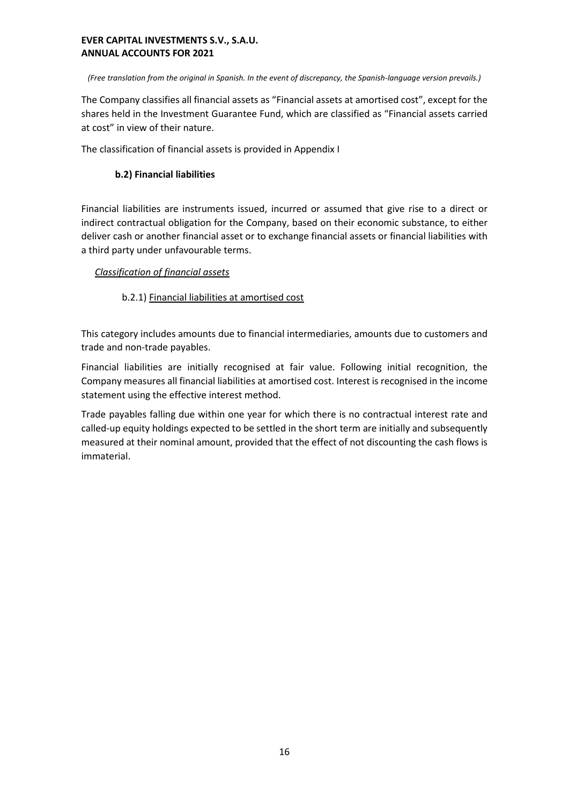*(Free translation from the original in Spanish. In the event of discrepancy, the Spanish-language version prevails.)*

The Company classifies all financial assets as "Financial assets at amortised cost", except for the shares held in the Investment Guarantee Fund, which are classified as "Financial assets carried at cost" in view of their nature.

The classification of financial assets is provided in Appendix I

# **b.2) Financial liabilities**

Financial liabilities are instruments issued, incurred or assumed that give rise to a direct or indirect contractual obligation for the Company, based on their economic substance, to either deliver cash or another financial asset or to exchange financial assets or financial liabilities with a third party under unfavourable terms.

# *Classification of financial assets*

# b.2.1) Financial liabilities at amortised cost

This category includes amounts due to financial intermediaries, amounts due to customers and trade and non-trade payables.

Financial liabilities are initially recognised at fair value. Following initial recognition, the Company measures all financial liabilities at amortised cost. Interest is recognised in the income statement using the effective interest method.

Trade payables falling due within one year for which there is no contractual interest rate and called-up equity holdings expected to be settled in the short term are initially and subsequently measured at their nominal amount, provided that the effect of not discounting the cash flows is immaterial.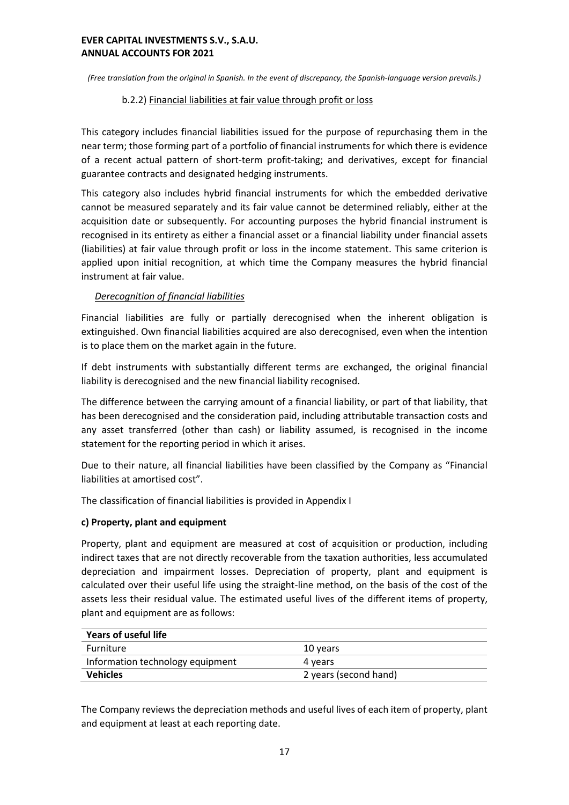*(Free translation from the original in Spanish. In the event of discrepancy, the Spanish-language version prevails.)*

## b.2.2) Financial liabilities at fair value through profit or loss

This category includes financial liabilities issued for the purpose of repurchasing them in the near term; those forming part of a portfolio of financial instruments for which there is evidence of a recent actual pattern of short-term profit-taking; and derivatives, except for financial guarantee contracts and designated hedging instruments.

This category also includes hybrid financial instruments for which the embedded derivative cannot be measured separately and its fair value cannot be determined reliably, either at the acquisition date or subsequently. For accounting purposes the hybrid financial instrument is recognised in its entirety as either a financial asset or a financial liability under financial assets (liabilities) at fair value through profit or loss in the income statement. This same criterion is applied upon initial recognition, at which time the Company measures the hybrid financial instrument at fair value.

# *Derecognition of financial liabilities*

Financial liabilities are fully or partially derecognised when the inherent obligation is extinguished. Own financial liabilities acquired are also derecognised, even when the intention is to place them on the market again in the future.

If debt instruments with substantially different terms are exchanged, the original financial liability is derecognised and the new financial liability recognised.

The difference between the carrying amount of a financial liability, or part of that liability, that has been derecognised and the consideration paid, including attributable transaction costs and any asset transferred (other than cash) or liability assumed, is recognised in the income statement for the reporting period in which it arises.

Due to their nature, all financial liabilities have been classified by the Company as "Financial liabilities at amortised cost".

The classification of financial liabilities is provided in Appendix I

# **c) Property, plant and equipment**

Property, plant and equipment are measured at cost of acquisition or production, including indirect taxes that are not directly recoverable from the taxation authorities, less accumulated depreciation and impairment losses. Depreciation of property, plant and equipment is calculated over their useful life using the straight-line method, on the basis of the cost of the assets less their residual value. The estimated useful lives of the different items of property, plant and equipment are as follows:

| Years of useful life             |                       |  |
|----------------------------------|-----------------------|--|
| <b>Furniture</b>                 | 10 years              |  |
| Information technology equipment | 4 years               |  |
| <b>Vehicles</b>                  | 2 years (second hand) |  |

The Company reviews the depreciation methods and useful lives of each item of property, plant and equipment at least at each reporting date.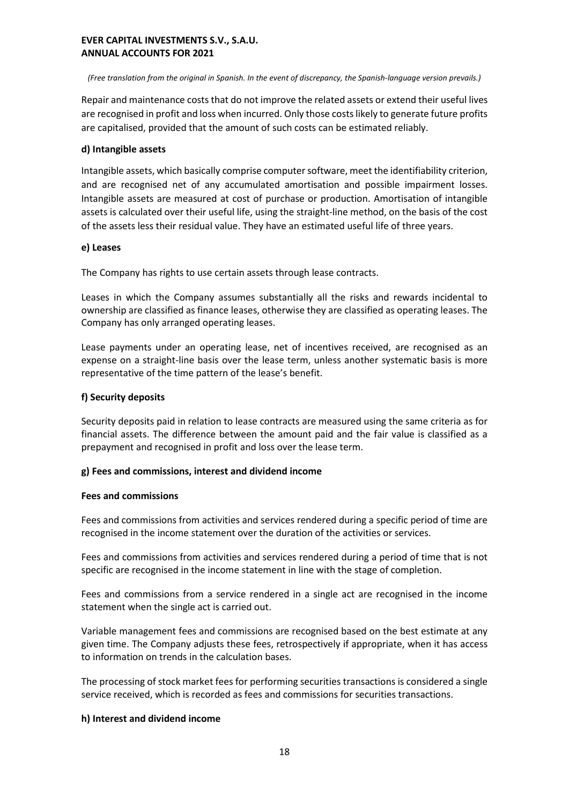*(Free translation from the original in Spanish. In the event of discrepancy, the Spanish-language version prevails.)*

Repair and maintenance costs that do not improve the related assets or extend their useful lives are recognised in profit and loss when incurred. Only those costs likely to generate future profits are capitalised, provided that the amount of such costs can be estimated reliably.

#### **d) Intangible assets**

Intangible assets, which basically comprise computer software, meet the identifiability criterion, and are recognised net of any accumulated amortisation and possible impairment losses. Intangible assets are measured at cost of purchase or production. Amortisation of intangible assets is calculated over their useful life, using the straight-line method, on the basis of the cost of the assets less their residual value. They have an estimated useful life of three years.

#### **e) Leases**

The Company has rights to use certain assets through lease contracts.

Leases in which the Company assumes substantially all the risks and rewards incidental to ownership are classified as finance leases, otherwise they are classified as operating leases. The Company has only arranged operating leases.

Lease payments under an operating lease, net of incentives received, are recognised as an expense on a straight-line basis over the lease term, unless another systematic basis is more representative of the time pattern of the lease's benefit.

# **f) Security deposits**

Security deposits paid in relation to lease contracts are measured using the same criteria as for financial assets. The difference between the amount paid and the fair value is classified as a prepayment and recognised in profit and loss over the lease term.

#### **g) Fees and commissions, interest and dividend income**

#### **Fees and commissions**

Fees and commissions from activities and services rendered during a specific period of time are recognised in the income statement over the duration of the activities or services.

Fees and commissions from activities and services rendered during a period of time that is not specific are recognised in the income statement in line with the stage of completion.

Fees and commissions from a service rendered in a single act are recognised in the income statement when the single act is carried out.

Variable management fees and commissions are recognised based on the best estimate at any given time. The Company adjusts these fees, retrospectively if appropriate, when it has access to information on trends in the calculation bases.

The processing of stock market fees for performing securities transactions is considered a single service received, which is recorded as fees and commissions for securities transactions.

# **h) Interest and dividend income**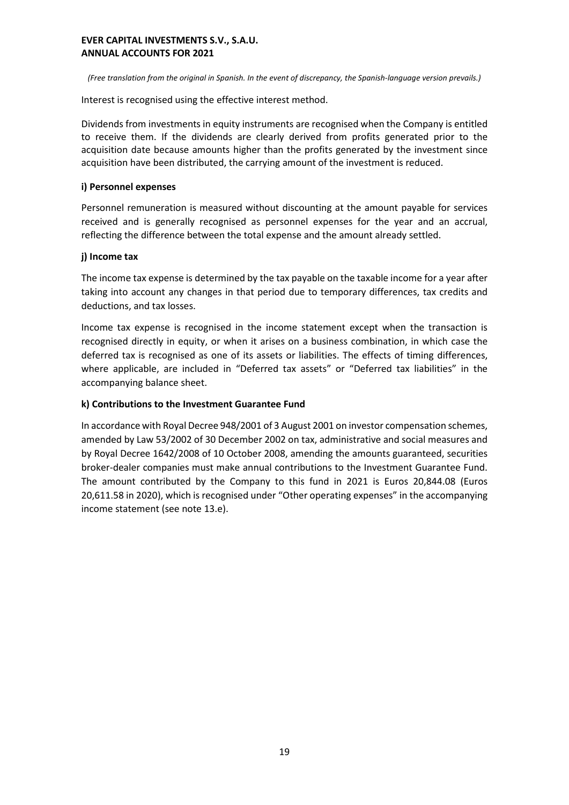*(Free translation from the original in Spanish. In the event of discrepancy, the Spanish-language version prevails.)*

Interest is recognised using the effective interest method.

Dividends from investments in equity instruments are recognised when the Company is entitled to receive them. If the dividends are clearly derived from profits generated prior to the acquisition date because amounts higher than the profits generated by the investment since acquisition have been distributed, the carrying amount of the investment is reduced.

#### **i) Personnel expenses**

Personnel remuneration is measured without discounting at the amount payable for services received and is generally recognised as personnel expenses for the year and an accrual, reflecting the difference between the total expense and the amount already settled.

#### **j) Income tax**

The income tax expense is determined by the tax payable on the taxable income for a year after taking into account any changes in that period due to temporary differences, tax credits and deductions, and tax losses.

Income tax expense is recognised in the income statement except when the transaction is recognised directly in equity, or when it arises on a business combination, in which case the deferred tax is recognised as one of its assets or liabilities. The effects of timing differences, where applicable, are included in "Deferred tax assets" or "Deferred tax liabilities" in the accompanying balance sheet.

#### **k) Contributions to the Investment Guarantee Fund**

In accordance with Royal Decree 948/2001 of 3 August 2001 on investor compensation schemes, amended by Law 53/2002 of 30 December 2002 on tax, administrative and social measures and by Royal Decree 1642/2008 of 10 October 2008, amending the amounts guaranteed, securities broker-dealer companies must make annual contributions to the Investment Guarantee Fund. The amount contributed by the Company to this fund in 2021 is Euros 20,844.08 (Euros 20,611.58 in 2020), which is recognised under "Other operating expenses" in the accompanying income statement (see note 13.e).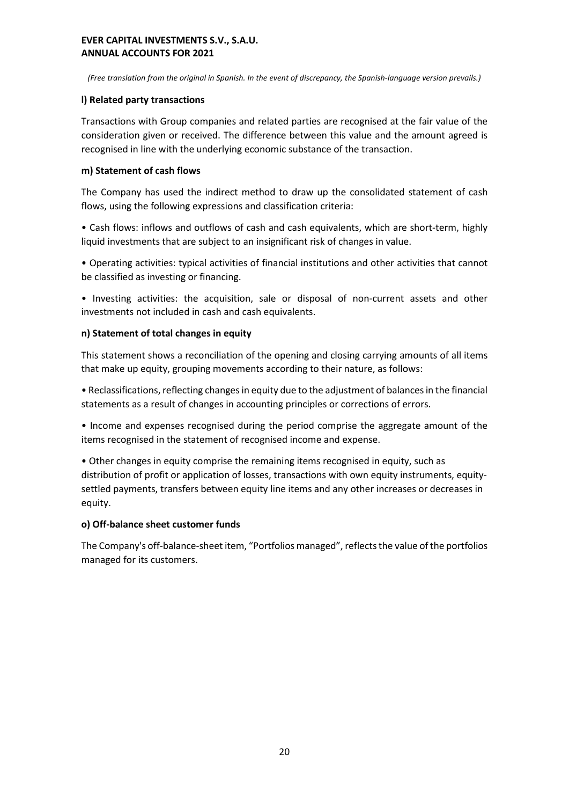*(Free translation from the original in Spanish. In the event of discrepancy, the Spanish-language version prevails.)*

# **l) Related party transactions**

Transactions with Group companies and related parties are recognised at the fair value of the consideration given or received. The difference between this value and the amount agreed is recognised in line with the underlying economic substance of the transaction.

# **m) Statement of cash flows**

The Company has used the indirect method to draw up the consolidated statement of cash flows, using the following expressions and classification criteria:

• Cash flows: inflows and outflows of cash and cash equivalents, which are short-term, highly liquid investments that are subject to an insignificant risk of changes in value.

• Operating activities: typical activities of financial institutions and other activities that cannot be classified as investing or financing.

• Investing activities: the acquisition, sale or disposal of non-current assets and other investments not included in cash and cash equivalents.

# **n) Statement of total changes in equity**

This statement shows a reconciliation of the opening and closing carrying amounts of all items that make up equity, grouping movements according to their nature, as follows:

• Reclassifications, reflecting changes in equity due to the adjustment of balances in the financial statements as a result of changes in accounting principles or corrections of errors.

• Income and expenses recognised during the period comprise the aggregate amount of the items recognised in the statement of recognised income and expense.

• Other changes in equity comprise the remaining items recognised in equity, such as distribution of profit or application of losses, transactions with own equity instruments, equitysettled payments, transfers between equity line items and any other increases or decreases in equity.

# **o) Off-balance sheet customer funds**

The Company's off-balance-sheet item, "Portfolios managed", reflects the value of the portfolios managed for its customers.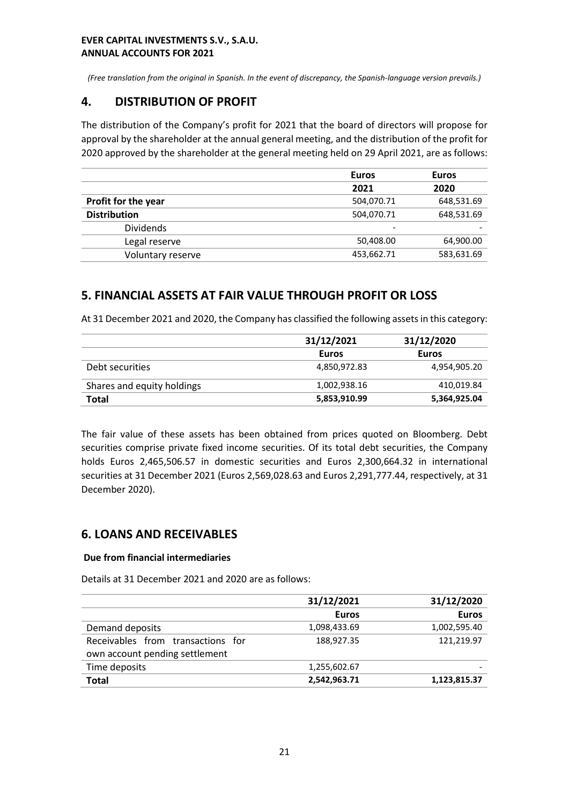*(Free translation from the original in Spanish. In the event of discrepancy, the Spanish-language version prevails.)*

# **4. DISTRIBUTION OF PROFIT**

The distribution of the Company's profit for 2021 that the board of directors will propose for approval by the shareholder at the annual general meeting, and the distribution of the profit for 2020 approved by the shareholder at the general meeting held on 29 April 2021, are as follows:

|                     | <b>Euros</b>             | <b>Euros</b> |
|---------------------|--------------------------|--------------|
|                     | 2021                     | 2020         |
| Profit for the year | 504,070.71               | 648,531.69   |
| <b>Distribution</b> | 504,070.71               | 648,531.69   |
| <b>Dividends</b>    | $\overline{\phantom{0}}$ |              |
| Legal reserve       | 50,408.00                | 64,900.00    |
| Voluntary reserve   | 453,662.71               | 583,631.69   |

# **5. FINANCIAL ASSETS AT FAIR VALUE THROUGH PROFIT OR LOSS**

At 31 December 2021 and 2020, the Company has classified the following assets in this category:

|                            | 31/12/2021   | 31/12/2020   |
|----------------------------|--------------|--------------|
|                            | Euros        | Euros        |
| Debt securities            | 4,850,972.83 | 4,954,905.20 |
| Shares and equity holdings | 1,002,938.16 | 410,019.84   |
| Total                      | 5,853,910.99 | 5,364,925.04 |

The fair value of these assets has been obtained from prices quoted on Bloomberg. Debt securities comprise private fixed income securities. Of its total debt securities, the Company holds Euros 2,465,506.57 in domestic securities and Euros 2,300,664.32 in international securities at 31 December 2021 (Euros 2,569,028.63 and Euros 2,291,777.44, respectively, at 31 December 2020).

# **6. LOANS AND RECEIVABLES**

#### **Due from financial intermediaries**

Details at 31 December 2021 and 2020 are as follows:

|                                   | 31/12/2021   | 31/12/2020   |
|-----------------------------------|--------------|--------------|
|                                   | <b>Euros</b> | <b>Euros</b> |
| Demand deposits                   | 1,098,433.69 | 1,002,595.40 |
| Receivables from transactions for | 188.927.35   | 121,219.97   |
| own account pending settlement    |              |              |
| Time deposits                     | 1,255,602.67 |              |
| <b>Total</b>                      | 2,542,963.71 | 1,123,815.37 |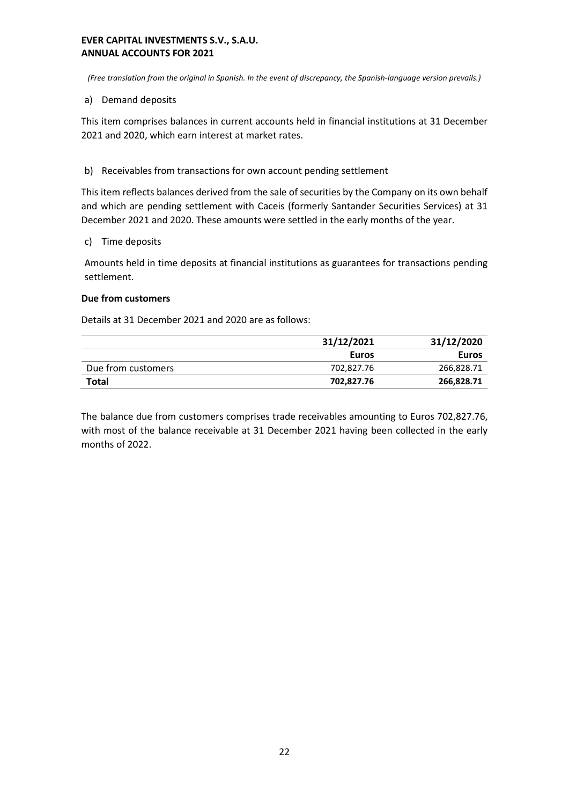*(Free translation from the original in Spanish. In the event of discrepancy, the Spanish-language version prevails.)*

## a) Demand deposits

This item comprises balances in current accounts held in financial institutions at 31 December 2021 and 2020, which earn interest at market rates.

b) Receivables from transactions for own account pending settlement

This item reflects balances derived from the sale of securities by the Company on its own behalf and which are pending settlement with Caceis (formerly Santander Securities Services) at 31 December 2021 and 2020. These amounts were settled in the early months of the year.

c) Time deposits

Amounts held in time deposits at financial institutions as guarantees for transactions pending settlement.

# **Due from customers**

Details at 31 December 2021 and 2020 are as follows:

|                    | 31/12/2021 | 31/12/2020   |
|--------------------|------------|--------------|
|                    | Euros      | <b>Euros</b> |
| Due from customers | 702.827.76 | 266,828.71   |
| Total              | 702,827.76 | 266,828.71   |

The balance due from customers comprises trade receivables amounting to Euros 702,827.76, with most of the balance receivable at 31 December 2021 having been collected in the early months of 2022.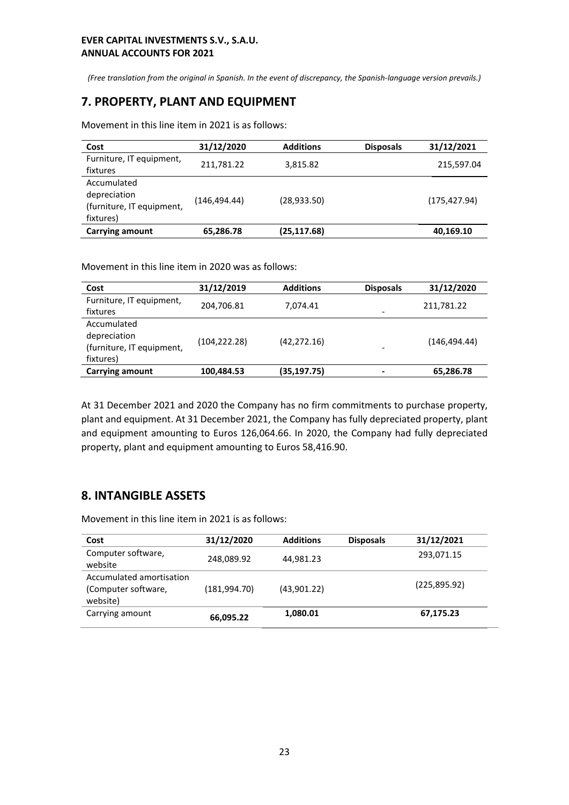*(Free translation from the original in Spanish. In the event of discrepancy, the Spanish-language version prevails.)*

# **7. PROPERTY, PLANT AND EQUIPMENT**

Movement in this line item in 2021 is as follows:

| Cost                                                                  | 31/12/2020    | <b>Additions</b> | <b>Disposals</b> | 31/12/2021    |
|-----------------------------------------------------------------------|---------------|------------------|------------------|---------------|
| Furniture, IT equipment,<br>fixtures                                  | 211,781.22    | 3,815.82         |                  | 215,597.04    |
| Accumulated<br>depreciation<br>(furniture, IT equipment,<br>fixtures) | (146, 494.44) | (28, 933.50)     |                  | (175, 427.94) |
| <b>Carrying amount</b>                                                | 65,286.78     | (25, 117.68)     |                  | 40,169.10     |

Movement in this line item in 2020 was as follows:

| Cost                                                                  | 31/12/2019    | <b>Additions</b> | <b>Disposals</b>         | 31/12/2020    |
|-----------------------------------------------------------------------|---------------|------------------|--------------------------|---------------|
| Furniture, IT equipment,<br>fixtures                                  | 204,706.81    | 7.074.41         | $\overline{\phantom{a}}$ | 211,781.22    |
| Accumulated<br>depreciation<br>(furniture, IT equipment,<br>fixtures) | (104, 222.28) | (42, 272, 16)    |                          | (146, 494.44) |
| <b>Carrying amount</b>                                                | 100,484.53    | (35, 197.75)     |                          | 65,286.78     |

At 31 December 2021 and 2020 the Company has no firm commitments to purchase property, plant and equipment. At 31 December 2021, the Company has fully depreciated property, plant and equipment amounting to Euros 126,064.66. In 2020, the Company had fully depreciated property, plant and equipment amounting to Euros 58,416.90.

# **8. INTANGIBLE ASSETS**

Movement in this line item in 2021 is as follows:

| Cost                                                        | 31/12/2020   | <b>Additions</b> | <b>Disposals</b> | 31/12/2021   |
|-------------------------------------------------------------|--------------|------------------|------------------|--------------|
| Computer software,<br>website                               | 248,089.92   | 44,981.23        |                  | 293,071.15   |
| Accumulated amortisation<br>(Computer software,<br>website) | (181,994.70) | (43,901.22)      |                  | (225,895.92) |
| Carrying amount                                             | 66,095.22    | 1,080.01         |                  | 67,175.23    |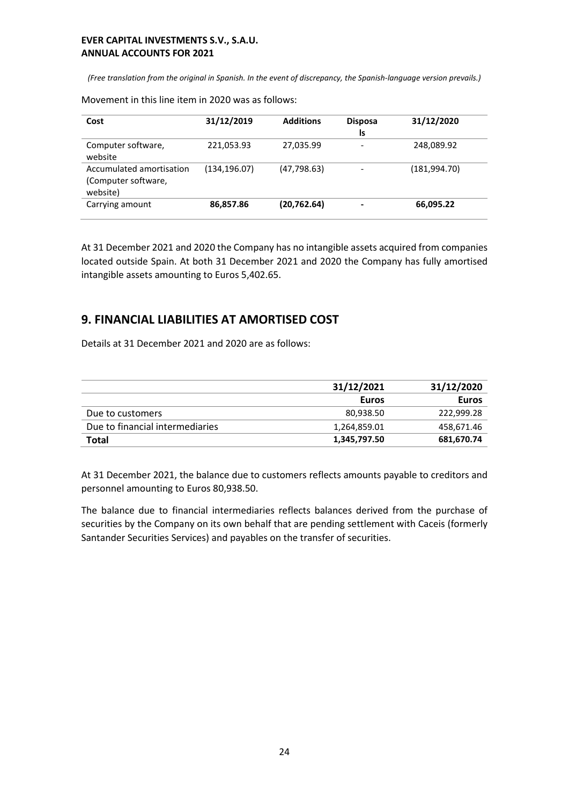*(Free translation from the original in Spanish. In the event of discrepancy, the Spanish-language version prevails.)*

Movement in this line item in 2020 was as follows:

| Cost                                                        | 31/12/2019    | <b>Additions</b> | <b>Disposa</b><br>ls | 31/12/2020    |
|-------------------------------------------------------------|---------------|------------------|----------------------|---------------|
| Computer software,<br>website                               | 221,053.93    | 27,035.99        | ۰                    | 248,089.92    |
| Accumulated amortisation<br>(Computer software,<br>website) | (134, 196.07) | (47, 798.63)     |                      | (181, 994.70) |
| Carrying amount                                             | 86,857.86     | (20, 762.64)     |                      | 66,095.22     |

At 31 December 2021 and 2020 the Company has no intangible assets acquired from companies located outside Spain. At both 31 December 2021 and 2020 the Company has fully amortised intangible assets amounting to Euros 5,402.65.

# **9. FINANCIAL LIABILITIES AT AMORTISED COST**

Details at 31 December 2021 and 2020 are as follows:

|                                 | 31/12/2021   | 31/12/2020 |
|---------------------------------|--------------|------------|
|                                 | Euros        | Euros      |
| Due to customers                | 80.938.50    | 222.999.28 |
| Due to financial intermediaries | 1,264,859.01 | 458,671.46 |
| Total                           | 1,345,797.50 | 681,670.74 |

At 31 December 2021, the balance due to customers reflects amounts payable to creditors and personnel amounting to Euros 80,938.50.

The balance due to financial intermediaries reflects balances derived from the purchase of securities by the Company on its own behalf that are pending settlement with Caceis (formerly Santander Securities Services) and payables on the transfer of securities.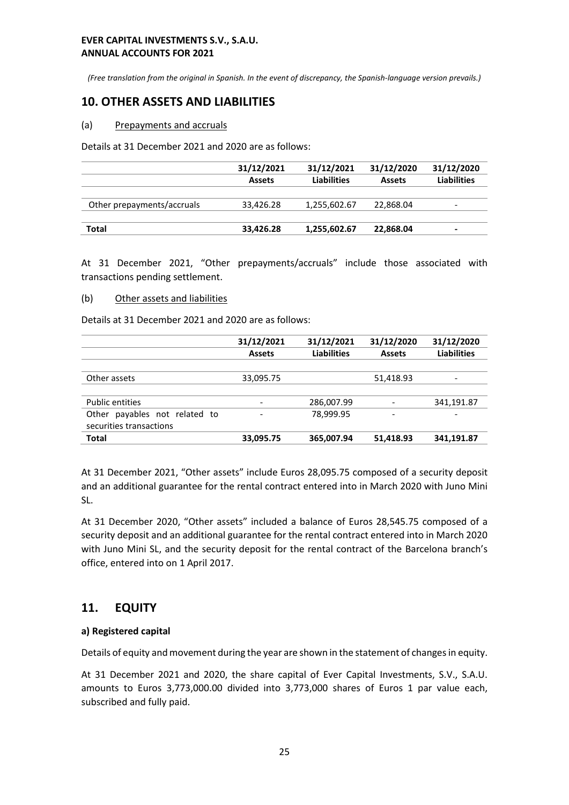*(Free translation from the original in Spanish. In the event of discrepancy, the Spanish-language version prevails.)*

# **10. OTHER ASSETS AND LIABILITIES**

#### (a) Prepayments and accruals

Details at 31 December 2021 and 2020 are as follows:

|                            | 31/12/2021    | 31/12/2021         | 31/12/2020    | 31/12/2020               |
|----------------------------|---------------|--------------------|---------------|--------------------------|
|                            | <b>Assets</b> | <b>Liabilities</b> | <b>Assets</b> | <b>Liabilities</b>       |
| Other prepayments/accruals | 33.426.28     | 1,255,602.67       | 22,868.04     | $\overline{\phantom{0}}$ |
| Total                      | 33,426.28     | 1,255,602.67       | 22,868.04     |                          |

At 31 December 2021, "Other prepayments/accruals" include those associated with transactions pending settlement.

#### (b) Other assets and liabilities

Details at 31 December 2021 and 2020 are as follows:

|                                  | 31/12/2021    | 31/12/2021         | 31/12/2020    | 31/12/2020         |
|----------------------------------|---------------|--------------------|---------------|--------------------|
|                                  | <b>Assets</b> | <b>Liabilities</b> | <b>Assets</b> | <b>Liabilities</b> |
|                                  |               |                    |               |                    |
| Other assets                     | 33,095.75     |                    | 51,418.93     |                    |
|                                  |               |                    |               |                    |
| <b>Public entities</b>           |               | 286,007.99         |               | 341,191.87         |
| payables not related to<br>Other |               | 78.999.95          |               |                    |
| securities transactions          |               |                    |               |                    |
| <b>Total</b>                     | 33,095.75     | 365,007.94         | 51,418.93     | 341,191.87         |

At 31 December 2021, "Other assets" include Euros 28,095.75 composed of a security deposit and an additional guarantee for the rental contract entered into in March 2020 with Juno Mini SL.

At 31 December 2020, "Other assets" included a balance of Euros 28,545.75 composed of a security deposit and an additional guarantee for the rental contract entered into in March 2020 with Juno Mini SL, and the security deposit for the rental contract of the Barcelona branch's office, entered into on 1 April 2017.

# **11. EQUITY**

#### **a) Registered capital**

Details of equity and movement during the year are shown in the statement of changes in equity.

At 31 December 2021 and 2020, the share capital of Ever Capital Investments, S.V., S.A.U. amounts to Euros 3,773,000.00 divided into 3,773,000 shares of Euros 1 par value each, subscribed and fully paid.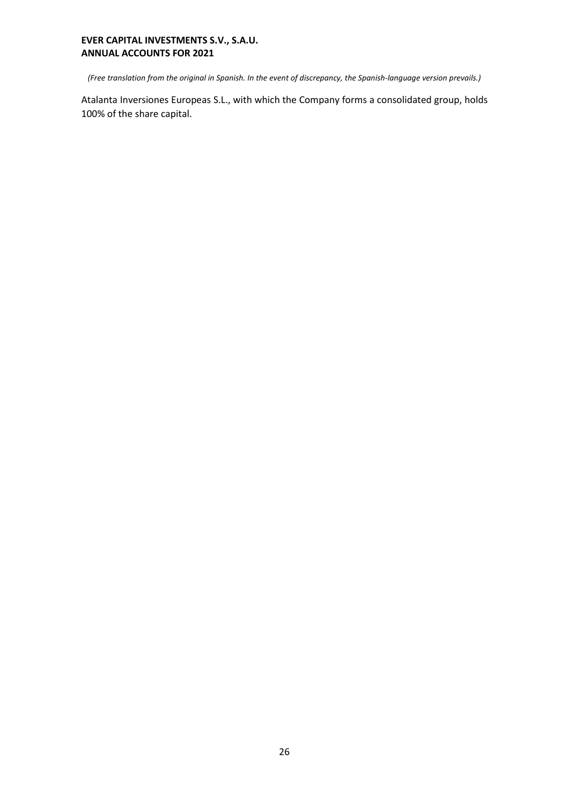*(Free translation from the original in Spanish. In the event of discrepancy, the Spanish-language version prevails.)*

Atalanta Inversiones Europeas S.L., with which the Company forms a consolidated group, holds 100% of the share capital.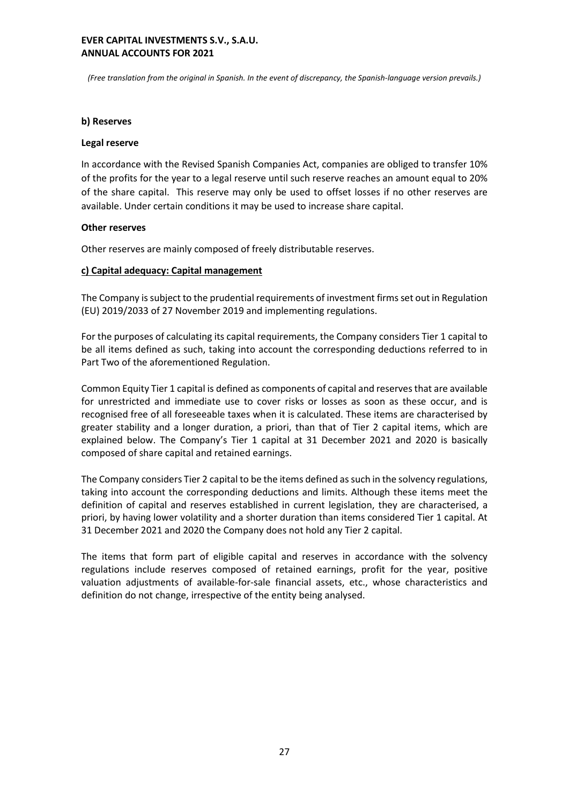*(Free translation from the original in Spanish. In the event of discrepancy, the Spanish-language version prevails.)*

#### **b) Reserves**

#### **Legal reserve**

In accordance with the Revised Spanish Companies Act, companies are obliged to transfer 10% of the profits for the year to a legal reserve until such reserve reaches an amount equal to 20% of the share capital. This reserve may only be used to offset losses if no other reserves are available. Under certain conditions it may be used to increase share capital.

#### **Other reserves**

Other reserves are mainly composed of freely distributable reserves.

#### **c) Capital adequacy: Capital management**

The Company is subject to the prudential requirements of investment firms set out in Regulation (EU) 2019/2033 of 27 November 2019 and implementing regulations.

For the purposes of calculating its capital requirements, the Company considers Tier 1 capital to be all items defined as such, taking into account the corresponding deductions referred to in Part Two of the aforementioned Regulation.

Common Equity Tier 1 capital is defined as components of capital and reserves that are available for unrestricted and immediate use to cover risks or losses as soon as these occur, and is recognised free of all foreseeable taxes when it is calculated. These items are characterised by greater stability and a longer duration, a priori, than that of Tier 2 capital items, which are explained below. The Company's Tier 1 capital at 31 December 2021 and 2020 is basically composed of share capital and retained earnings.

The Company considers Tier 2 capital to be the items defined as such in the solvency regulations, taking into account the corresponding deductions and limits. Although these items meet the definition of capital and reserves established in current legislation, they are characterised, a priori, by having lower volatility and a shorter duration than items considered Tier 1 capital. At 31 December 2021 and 2020 the Company does not hold any Tier 2 capital.

The items that form part of eligible capital and reserves in accordance with the solvency regulations include reserves composed of retained earnings, profit for the year, positive valuation adjustments of available-for-sale financial assets, etc., whose characteristics and definition do not change, irrespective of the entity being analysed.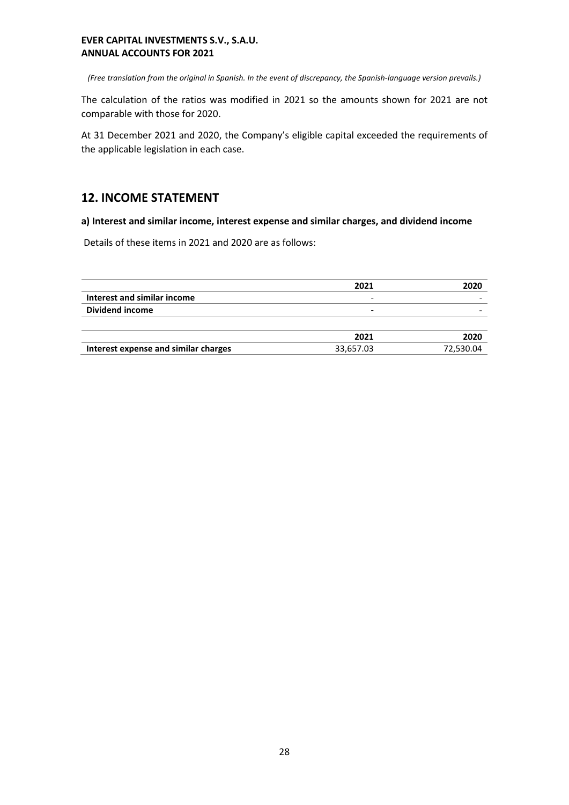*(Free translation from the original in Spanish. In the event of discrepancy, the Spanish-language version prevails.)*

The calculation of the ratios was modified in 2021 so the amounts shown for 2021 are not comparable with those for 2020.

At 31 December 2021 and 2020, the Company's eligible capital exceeded the requirements of the applicable legislation in each case.

# **12. INCOME STATEMENT**

**a) Interest and similar income, interest expense and similar charges, and dividend income**

Details of these items in 2021 and 2020 are as follows:

|                                      | 2021      | 2020      |
|--------------------------------------|-----------|-----------|
| Interest and similar income          | -         |           |
| Dividend income                      | -         |           |
|                                      |           |           |
|                                      | 2021      | 2020      |
| Interest expense and similar charges | 33,657.03 | 72,530.04 |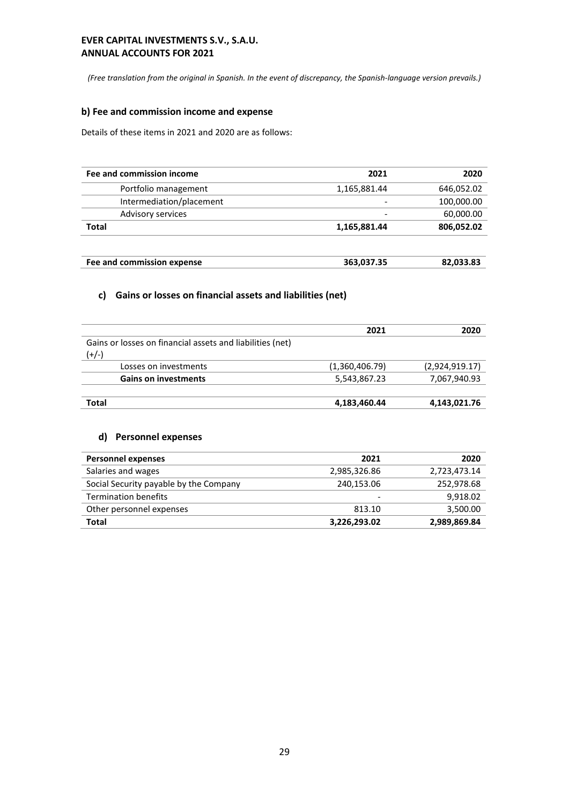*(Free translation from the original in Spanish. In the event of discrepancy, the Spanish-language version prevails.)*

# **b) Fee and commission income and expense**

Details of these items in 2021 and 2020 are as follows:

| Fee and commission income  | 2021         | 2020       |
|----------------------------|--------------|------------|
| Portfolio management       | 1,165,881.44 | 646,052.02 |
| Intermediation/placement   |              | 100,000.00 |
| <b>Advisory services</b>   |              | 60,000.00  |
| <b>Total</b>               | 1,165,881.44 | 806,052.02 |
| Fee and commission expense | 363,037.35   | 82,033.83  |

# **c) Gains or losses on financial assets and liabilities (net)**

|                                                           | 2021           | 2020           |
|-----------------------------------------------------------|----------------|----------------|
| Gains or losses on financial assets and liabilities (net) |                |                |
| $(+/-)$                                                   |                |                |
| Losses on investments                                     | (1,360,406.79) | (2,924,919.17) |
| <b>Gains on investments</b>                               | 5,543,867.23   | 7,067,940.93   |
|                                                           |                |                |
| Total                                                     | 4,183,460.44   | 4,143,021.76   |

#### **d) Personnel expenses**

| <b>Personnel expenses</b>              | 2021         | 2020         |
|----------------------------------------|--------------|--------------|
| Salaries and wages                     | 2,985,326.86 | 2,723,473.14 |
| Social Security payable by the Company | 240,153.06   | 252,978.68   |
| <b>Termination benefits</b>            | -            | 9,918.02     |
| Other personnel expenses               | 813.10       | 3,500.00     |
| Total                                  | 3,226,293.02 | 2,989,869.84 |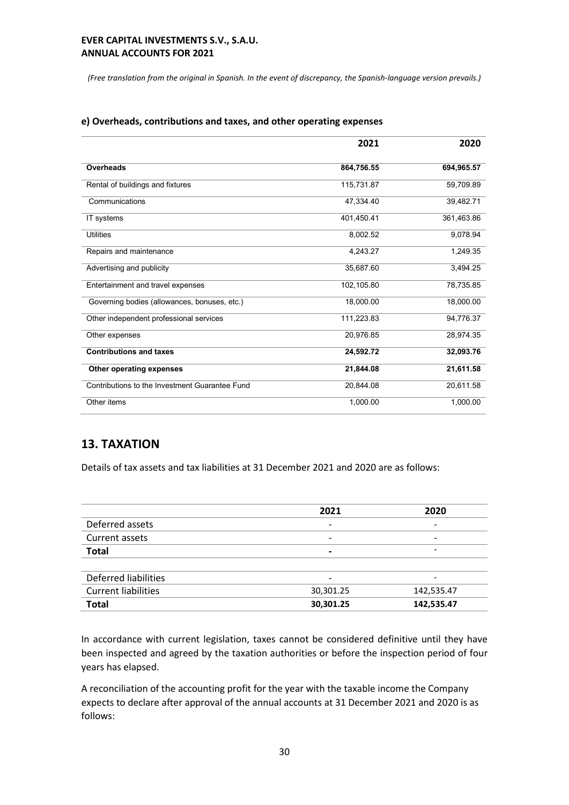*(Free translation from the original in Spanish. In the event of discrepancy, the Spanish-language version prevails.)*

|                                                | 2021       | 2020       |
|------------------------------------------------|------------|------------|
| Overheads                                      | 864,756.55 | 694,965.57 |
| Rental of buildings and fixtures               | 115,731.87 | 59,709.89  |
| Communications                                 | 47,334.40  | 39,482.71  |
| IT systems                                     | 401,450.41 | 361,463.86 |
| <b>Utilities</b>                               | 8,002.52   | 9,078.94   |
| Repairs and maintenance                        | 4,243.27   | 1,249.35   |
| Advertising and publicity                      | 35,687.60  | 3,494.25   |
| Entertainment and travel expenses              | 102,105.80 | 78,735.85  |
| Governing bodies (allowances, bonuses, etc.)   | 18,000.00  | 18,000.00  |
| Other independent professional services        | 111,223.83 | 94,776.37  |
| Other expenses                                 | 20,976.85  | 28,974.35  |
| <b>Contributions and taxes</b>                 | 24,592.72  | 32,093.76  |
| Other operating expenses                       | 21,844.08  | 21,611.58  |
| Contributions to the Investment Guarantee Fund | 20,844.08  | 20,611.58  |
| Other items                                    | 1,000.00   | 1,000.00   |

#### **e) Overheads, contributions and taxes, and other operating expenses**

# **13. TAXATION**

Details of tax assets and tax liabilities at 31 December 2021 and 2020 are as follows:

| 2021                     | 2020                     |
|--------------------------|--------------------------|
| $\overline{\phantom{0}}$ | -                        |
| $\overline{\phantom{0}}$ | $\overline{\phantom{0}}$ |
| $\overline{\phantom{0}}$ | ۰                        |
|                          |                          |
|                          | -                        |
| 30,301.25                | 142,535.47               |
| 30,301.25                | 142,535.47               |
|                          |                          |

In accordance with current legislation, taxes cannot be considered definitive until they have been inspected and agreed by the taxation authorities or before the inspection period of four years has elapsed.

A reconciliation of the accounting profit for the year with the taxable income the Company expects to declare after approval of the annual accounts at 31 December 2021 and 2020 is as follows: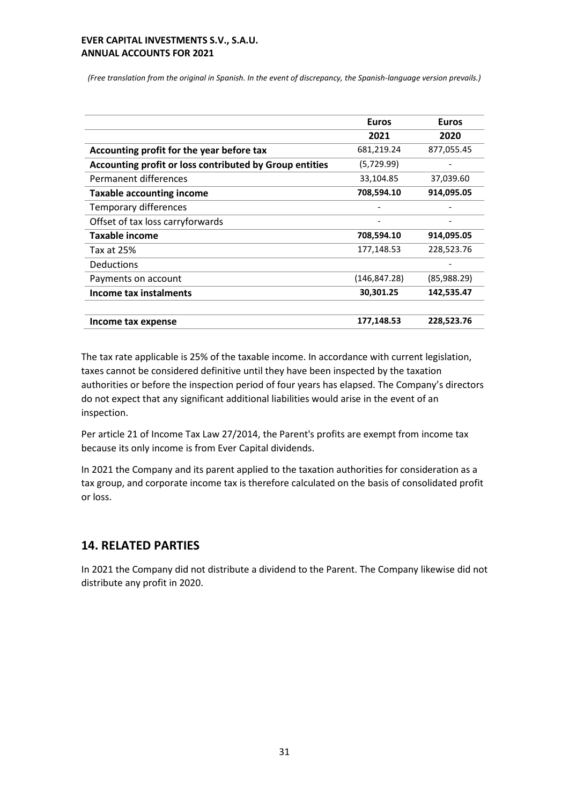*(Free translation from the original in Spanish. In the event of discrepancy, the Spanish-language version prevails.)*

|                                                         | <b>Euros</b> | <b>Euros</b> |
|---------------------------------------------------------|--------------|--------------|
|                                                         | 2021         | 2020         |
| Accounting profit for the year before tax               | 681,219.24   | 877,055.45   |
| Accounting profit or loss contributed by Group entities | (5,729.99)   |              |
| Permanent differences                                   | 33,104.85    | 37,039.60    |
| <b>Taxable accounting income</b>                        | 708,594.10   | 914,095.05   |
| <b>Temporary differences</b>                            |              |              |
| Offset of tax loss carryforwards                        |              |              |
| Taxable income                                          | 708,594.10   | 914,095.05   |
| Tax at 25%                                              | 177,148.53   | 228,523.76   |
| <b>Deductions</b>                                       |              |              |
| Payments on account                                     | (146,847.28) | (85,988.29)  |
| <b>Income tax instalments</b>                           | 30,301.25    | 142,535.47   |
| Income tax expense                                      | 177,148.53   | 228,523.76   |

The tax rate applicable is 25% of the taxable income. In accordance with current legislation, taxes cannot be considered definitive until they have been inspected by the taxation authorities or before the inspection period of four years has elapsed. The Company's directors do not expect that any significant additional liabilities would arise in the event of an inspection.

Per article 21 of Income Tax Law 27/2014, the Parent's profits are exempt from income tax because its only income is from Ever Capital dividends.

In 2021 the Company and its parent applied to the taxation authorities for consideration as a tax group, and corporate income tax is therefore calculated on the basis of consolidated profit or loss.

# **14. RELATED PARTIES**

In 2021 the Company did not distribute a dividend to the Parent. The Company likewise did not distribute any profit in 2020.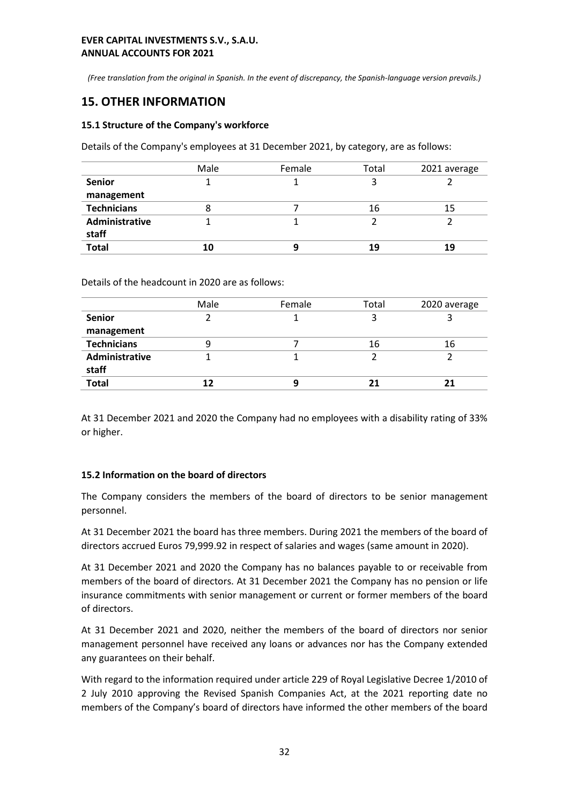*(Free translation from the original in Spanish. In the event of discrepancy, the Spanish-language version prevails.)*

# **15. OTHER INFORMATION**

#### **15.1 Structure of the Company's workforce**

Details of the Company's employees at 31 December 2021, by category, are as follows:

|                    | Male | Female | Total | 2021 average |
|--------------------|------|--------|-------|--------------|
| <b>Senior</b>      |      |        |       |              |
| management         |      |        |       |              |
| <b>Technicians</b> |      |        | 16    | 15           |
| Administrative     |      |        |       |              |
| staff              |      |        |       |              |
| <b>Total</b>       |      |        | 19    | 19           |

Details of the headcount in 2020 are as follows:

|                    | Male | Female | Total | 2020 average |
|--------------------|------|--------|-------|--------------|
| <b>Senior</b>      |      |        |       |              |
| management         |      |        |       |              |
| <b>Technicians</b> |      |        | 16    | 16           |
| Administrative     |      |        |       |              |
| staff              |      |        |       |              |
| <b>Total</b>       |      |        |       |              |

At 31 December 2021 and 2020 the Company had no employees with a disability rating of 33% or higher.

#### **15.2 Information on the board of directors**

The Company considers the members of the board of directors to be senior management personnel.

At 31 December 2021 the board has three members. During 2021 the members of the board of directors accrued Euros 79,999.92 in respect of salaries and wages (same amount in 2020).

At 31 December 2021 and 2020 the Company has no balances payable to or receivable from members of the board of directors. At 31 December 2021 the Company has no pension or life insurance commitments with senior management or current or former members of the board of directors.

At 31 December 2021 and 2020, neither the members of the board of directors nor senior management personnel have received any loans or advances nor has the Company extended any guarantees on their behalf.

With regard to the information required under article 229 of Royal Legislative Decree 1/2010 of 2 July 2010 approving the Revised Spanish Companies Act, at the 2021 reporting date no members of the Company's board of directors have informed the other members of the board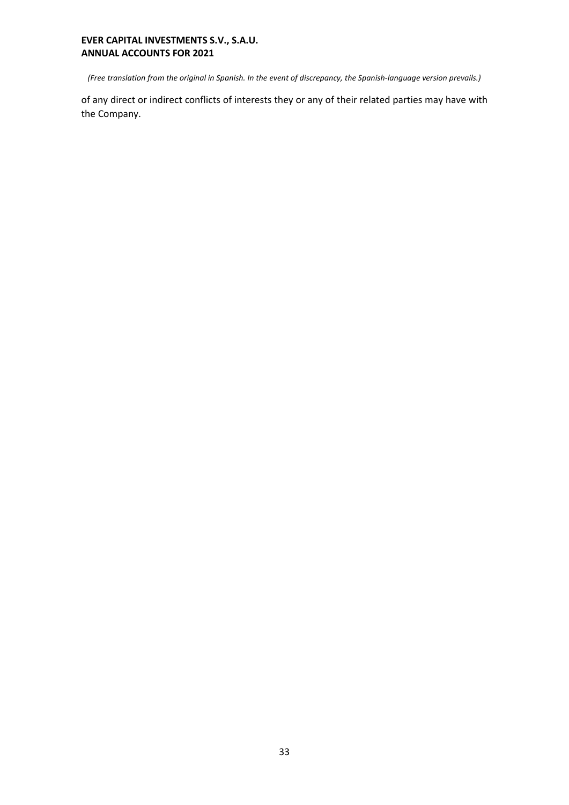*(Free translation from the original in Spanish. In the event of discrepancy, the Spanish-language version prevails.)*

of any direct or indirect conflicts of interests they or any of their related parties may have with the Company.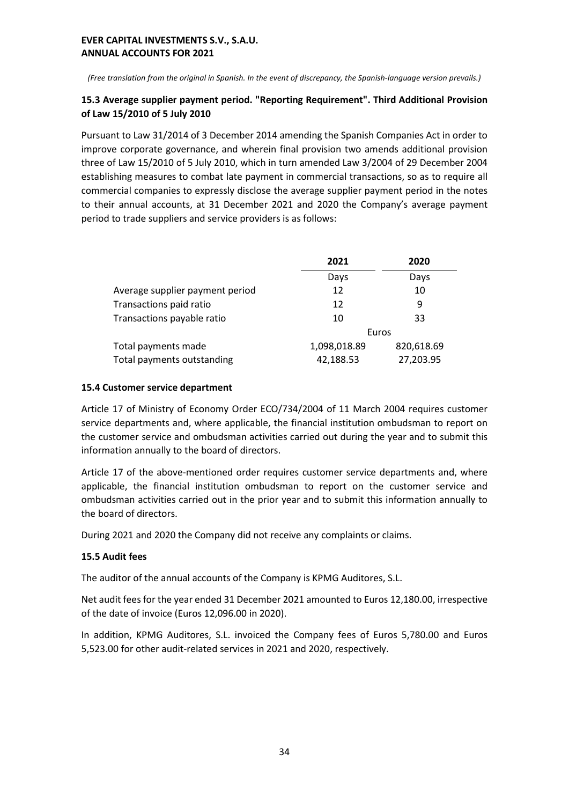*(Free translation from the original in Spanish. In the event of discrepancy, the Spanish-language version prevails.)*

# **15.3 Average supplier payment period. "Reporting Requirement". Third Additional Provision of Law 15/2010 of 5 July 2010**

Pursuant to Law 31/2014 of 3 December 2014 amending the Spanish Companies Act in order to improve corporate governance, and wherein final provision two amends additional provision three of Law 15/2010 of 5 July 2010, which in turn amended Law 3/2004 of 29 December 2004 establishing measures to combat late payment in commercial transactions, so as to require all commercial companies to expressly disclose the average supplier payment period in the notes to their annual accounts, at 31 December 2021 and 2020 the Company's average payment period to trade suppliers and service providers is as follows:

|                                 | 2021         | 2020       |  |
|---------------------------------|--------------|------------|--|
|                                 | Days         | Days       |  |
| Average supplier payment period | 12           | 10         |  |
| Transactions paid ratio         | 12           | 9          |  |
| Transactions payable ratio      | 10           | 33         |  |
|                                 | Euros        |            |  |
| Total payments made             | 1,098,018.89 | 820,618.69 |  |
| Total payments outstanding      | 42,188.53    | 27,203.95  |  |

# **15.4 Customer service department**

Article 17 of Ministry of Economy Order ECO/734/2004 of 11 March 2004 requires customer service departments and, where applicable, the financial institution ombudsman to report on the customer service and ombudsman activities carried out during the year and to submit this information annually to the board of directors.

Article 17 of the above-mentioned order requires customer service departments and, where applicable, the financial institution ombudsman to report on the customer service and ombudsman activities carried out in the prior year and to submit this information annually to the board of directors.

During 2021 and 2020 the Company did not receive any complaints or claims.

# **15.5 Audit fees**

The auditor of the annual accounts of the Company is KPMG Auditores, S.L.

Net audit fees for the year ended 31 December 2021 amounted to Euros 12,180.00, irrespective of the date of invoice (Euros 12,096.00 in 2020).

In addition, KPMG Auditores, S.L. invoiced the Company fees of Euros 5,780.00 and Euros 5,523.00 for other audit-related services in 2021 and 2020, respectively.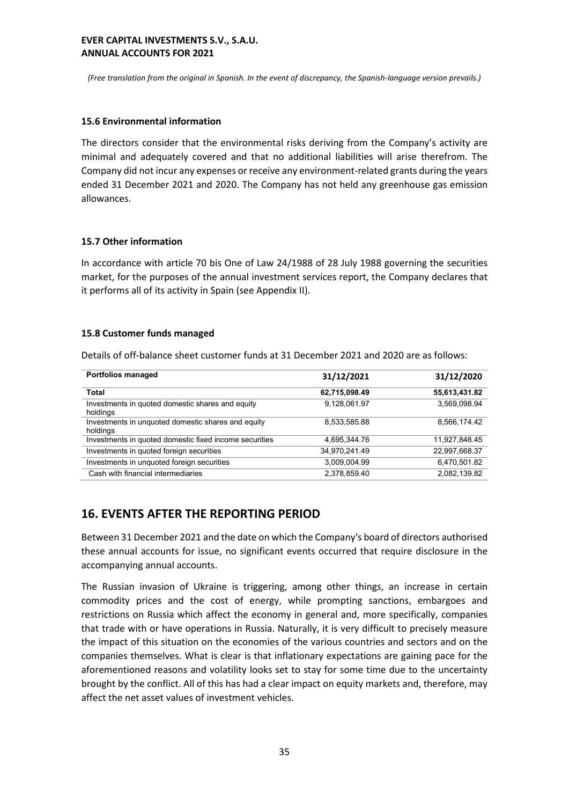*(Free translation from the original in Spanish. In the event of discrepancy, the Spanish-language version prevails.)*

#### **15.6 Environmental information**

The directors consider that the environmental risks deriving from the Company's activity are minimal and adequately covered and that no additional liabilities will arise therefrom. The Company did not incur any expenses or receive any environment-related grants during the years ended 31 December 2021 and 2020. The Company has not held any greenhouse gas emission allowances.

#### **15.7 Other information**

In accordance with article 70 bis One of Law 24/1988 of 28 July 1988 governing the securities market, for the purposes of the annual investment services report, the Company declares that it performs all of its activity in Spain (see Appendix II).

#### **15.8 Customer funds managed**

Details of off-balance sheet customer funds at 31 December 2021 and 2020 are as follows:

| <b>Portfolios managed</b>                                      | 31/12/2021    | 31/12/2020    |
|----------------------------------------------------------------|---------------|---------------|
| Total                                                          | 62,715,098.49 | 55,613,431.82 |
| Investments in quoted domestic shares and equity<br>holdings   | 9,128,061.97  | 3,569,098.94  |
| Investments in unquoted domestic shares and equity<br>holdings | 8,533,585.88  | 8,566,174.42  |
| Investments in quoted domestic fixed income securities         | 4,695,344.76  | 11,927,848.45 |
| Investments in quoted foreign securities                       | 34,970,241.49 | 22,997,668.37 |
| Investments in unquoted foreign securities                     | 3,009,004.99  | 6,470,501.82  |
| Cash with financial intermediaries                             | 2,378,859.40  | 2,082,139.82  |

# **16. EVENTS AFTER THE REPORTING PERIOD**

Between 31 December 2021 and the date on which the Company's board of directors authorised these annual accounts for issue, no significant events occurred that require disclosure in the accompanying annual accounts.

The Russian invasion of Ukraine is triggering, among other things, an increase in certain commodity prices and the cost of energy, while prompting sanctions, embargoes and restrictions on Russia which affect the economy in general and, more specifically, companies that trade with or have operations in Russia. Naturally, it is very difficult to precisely measure the impact of this situation on the economies of the various countries and sectors and on the companies themselves. What is clear is that inflationary expectations are gaining pace for the aforementioned reasons and volatility looks set to stay for some time due to the uncertainty brought by the conflict. All of this has had a clear impact on equity markets and, therefore, may affect the net asset values of investment vehicles.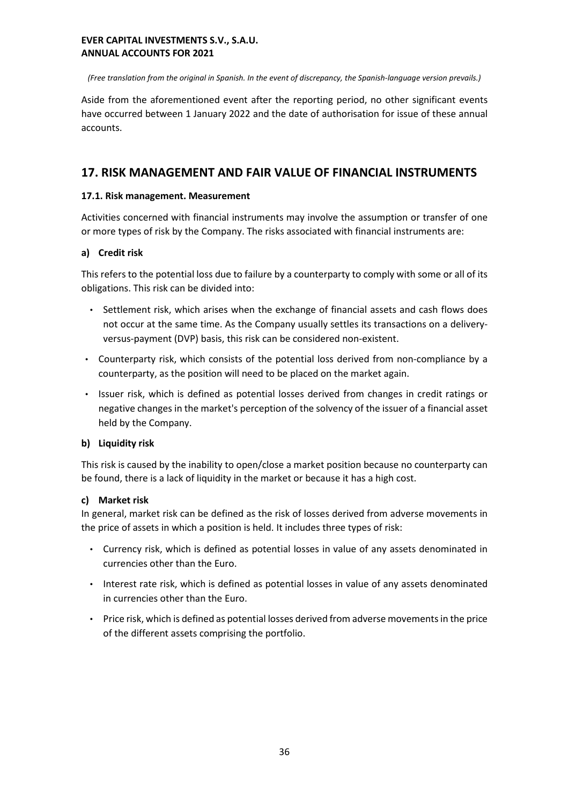*(Free translation from the original in Spanish. In the event of discrepancy, the Spanish-language version prevails.)*

Aside from the aforementioned event after the reporting period, no other significant events have occurred between 1 January 2022 and the date of authorisation for issue of these annual accounts.

# **17. RISK MANAGEMENT AND FAIR VALUE OF FINANCIAL INSTRUMENTS**

# **17.1. Risk management. Measurement**

Activities concerned with financial instruments may involve the assumption or transfer of one or more types of risk by the Company. The risks associated with financial instruments are:

# **a) Credit risk**

This refers to the potential loss due to failure by a counterparty to comply with some or all of its obligations. This risk can be divided into:

- Settlement risk, which arises when the exchange of financial assets and cash flows does not occur at the same time. As the Company usually settles its transactions on a deliveryversus-payment (DVP) basis, this risk can be considered non-existent.
- Counterparty risk, which consists of the potential loss derived from non-compliance by a counterparty, as the position will need to be placed on the market again.
- Issuer risk, which is defined as potential losses derived from changes in credit ratings or negative changes in the market's perception of the solvency of the issuer of a financial asset held by the Company.

# **b) Liquidity risk**

This risk is caused by the inability to open/close a market position because no counterparty can be found, there is a lack of liquidity in the market or because it has a high cost.

#### **c) Market risk**

In general, market risk can be defined as the risk of losses derived from adverse movements in the price of assets in which a position is held. It includes three types of risk:

- Currency risk, which is defined as potential losses in value of any assets denominated in currencies other than the Euro.
- Interest rate risk, which is defined as potential losses in value of any assets denominated in currencies other than the Euro.
- Price risk, which is defined as potential losses derived from adverse movements in the price of the different assets comprising the portfolio.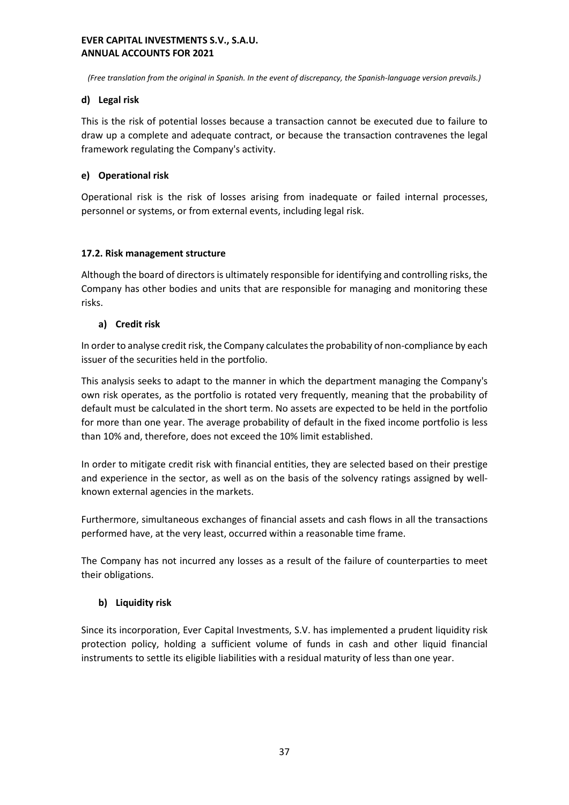*(Free translation from the original in Spanish. In the event of discrepancy, the Spanish-language version prevails.)*

# **d) Legal risk**

This is the risk of potential losses because a transaction cannot be executed due to failure to draw up a complete and adequate contract, or because the transaction contravenes the legal framework regulating the Company's activity.

# **e) Operational risk**

Operational risk is the risk of losses arising from inadequate or failed internal processes, personnel or systems, or from external events, including legal risk.

# **17.2. Risk management structure**

Although the board of directors is ultimately responsible for identifying and controlling risks, the Company has other bodies and units that are responsible for managing and monitoring these risks.

# **a) Credit risk**

In order to analyse credit risk, the Company calculates the probability of non-compliance by each issuer of the securities held in the portfolio.

This analysis seeks to adapt to the manner in which the department managing the Company's own risk operates, as the portfolio is rotated very frequently, meaning that the probability of default must be calculated in the short term. No assets are expected to be held in the portfolio for more than one year. The average probability of default in the fixed income portfolio is less than 10% and, therefore, does not exceed the 10% limit established.

In order to mitigate credit risk with financial entities, they are selected based on their prestige and experience in the sector, as well as on the basis of the solvency ratings assigned by wellknown external agencies in the markets.

Furthermore, simultaneous exchanges of financial assets and cash flows in all the transactions performed have, at the very least, occurred within a reasonable time frame.

The Company has not incurred any losses as a result of the failure of counterparties to meet their obligations.

# **b) Liquidity risk**

Since its incorporation, Ever Capital Investments, S.V. has implemented a prudent liquidity risk protection policy, holding a sufficient volume of funds in cash and other liquid financial instruments to settle its eligible liabilities with a residual maturity of less than one year.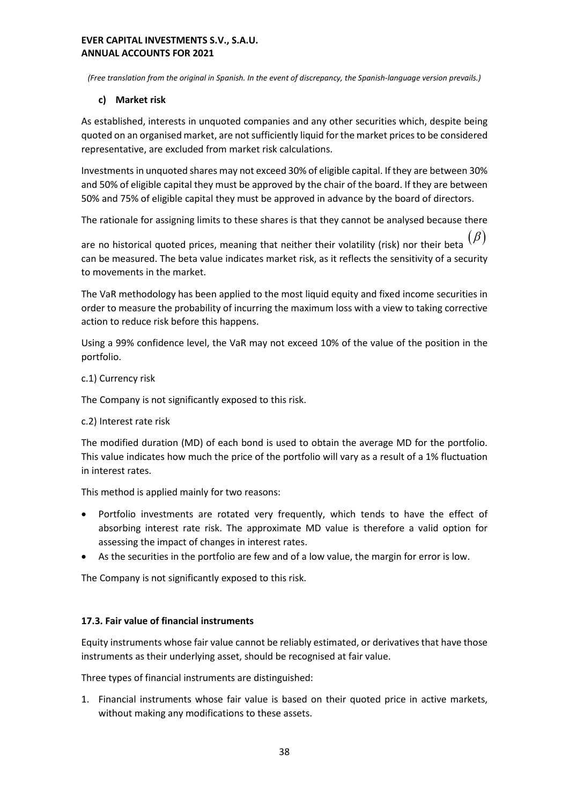*(Free translation from the original in Spanish. In the event of discrepancy, the Spanish-language version prevails.)*

# **c) Market risk**

As established, interests in unquoted companies and any other securities which, despite being quoted on an organised market, are not sufficiently liquid for the market prices to be considered representative, are excluded from market risk calculations.

Investments in unquoted shares may not exceed 30% of eligible capital. If they are between 30% and 50% of eligible capital they must be approved by the chair of the board. If they are between 50% and 75% of eligible capital they must be approved in advance by the board of directors.

The rationale for assigning limits to these shares is that they cannot be analysed because there

are no historical quoted prices, meaning that neither their volatility (risk) nor their beta can be measured. The beta value indicates market risk, as it reflects the sensitivity of a security to movements in the market.

The VaR methodology has been applied to the most liquid equity and fixed income securities in order to measure the probability of incurring the maximum loss with a view to taking corrective action to reduce risk before this happens.

Using a 99% confidence level, the VaR may not exceed 10% of the value of the position in the portfolio.

# c.1) Currency risk

The Company is not significantly exposed to this risk.

# c.2) Interest rate risk

The modified duration (MD) of each bond is used to obtain the average MD for the portfolio. This value indicates how much the price of the portfolio will vary as a result of a 1% fluctuation in interest rates.

This method is applied mainly for two reasons:

- Portfolio investments are rotated very frequently, which tends to have the effect of absorbing interest rate risk. The approximate MD value is therefore a valid option for assessing the impact of changes in interest rates.
- As the securities in the portfolio are few and of a low value, the margin for error is low.

The Company is not significantly exposed to this risk.

# **17.3. Fair value of financial instruments**

Equity instruments whose fair value cannot be reliably estimated, or derivatives that have those instruments as their underlying asset, should be recognised at fair value.

Three types of financial instruments are distinguished:

1. Financial instruments whose fair value is based on their quoted price in active markets, without making any modifications to these assets.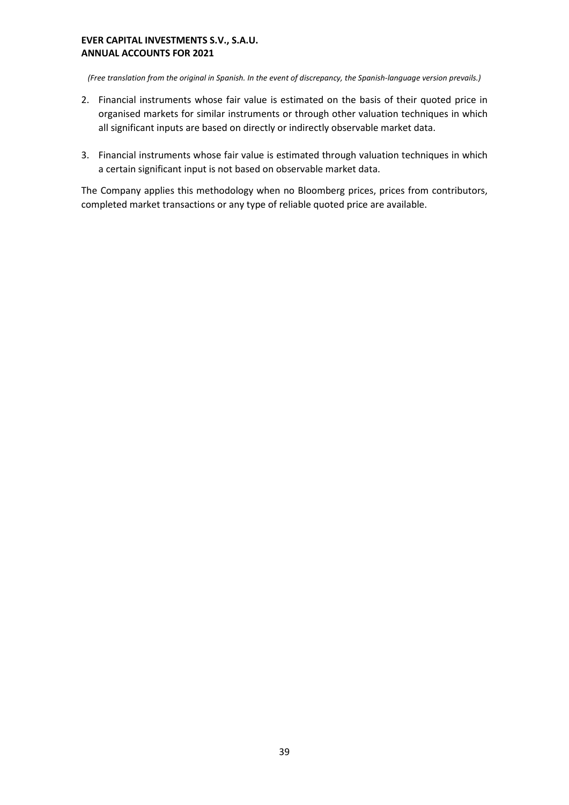*(Free translation from the original in Spanish. In the event of discrepancy, the Spanish-language version prevails.)*

- 2. Financial instruments whose fair value is estimated on the basis of their quoted price in organised markets for similar instruments or through other valuation techniques in which all significant inputs are based on directly or indirectly observable market data.
- 3. Financial instruments whose fair value is estimated through valuation techniques in which a certain significant input is not based on observable market data.

The Company applies this methodology when no Bloomberg prices, prices from contributors, completed market transactions or any type of reliable quoted price are available.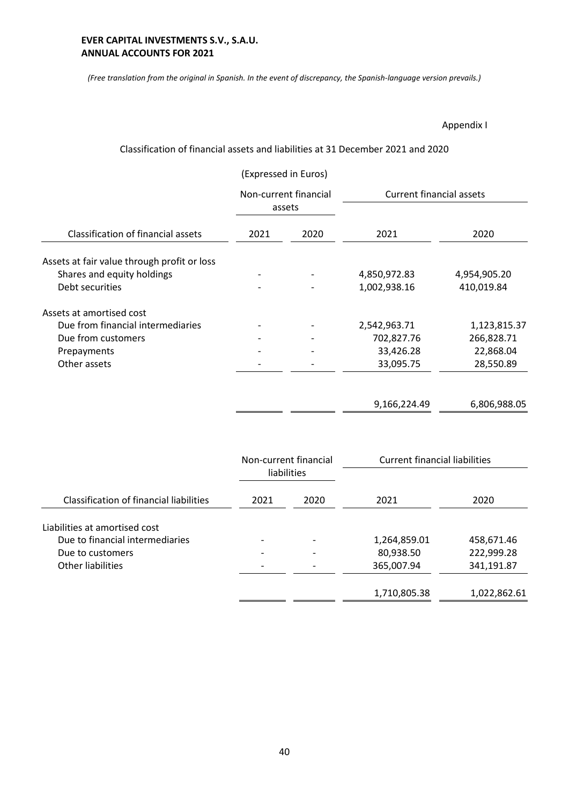*(Free translation from the original in Spanish. In the event of discrepancy, the Spanish-language version prevails.)*

Appendix I

# Classification of financial assets and liabilities at 31 December 2021 and 2020

|                                             | (Expressed in Euros)<br>Non-current financial<br>assets |      |                                      |              |
|---------------------------------------------|---------------------------------------------------------|------|--------------------------------------|--------------|
|                                             |                                                         |      | <b>Current financial assets</b>      |              |
| Classification of financial assets          | 2021                                                    | 2020 | 2021                                 | 2020         |
| Assets at fair value through profit or loss |                                                         |      |                                      |              |
| Shares and equity holdings                  |                                                         |      | 4,850,972.83                         | 4,954,905.20 |
| Debt securities                             |                                                         |      | 1,002,938.16                         | 410,019.84   |
| Assets at amortised cost                    |                                                         |      |                                      |              |
| Due from financial intermediaries           |                                                         |      | 2,542,963.71                         | 1,123,815.37 |
| Due from customers                          |                                                         |      | 702,827.76                           | 266,828.71   |
| Prepayments                                 |                                                         |      | 33,426.28                            | 22,868.04    |
| Other assets                                |                                                         |      | 33,095.75                            | 28,550.89    |
|                                             |                                                         |      | 9,166,224.49                         | 6,806,988.05 |
|                                             |                                                         |      |                                      |              |
|                                             | Non-current financial<br>liabilities                    |      | <b>Current financial liabilities</b> |              |

|                                                | liabilities |      |              |              |
|------------------------------------------------|-------------|------|--------------|--------------|
| <b>Classification of financial liabilities</b> | 2021        | 2020 | 2021         | 2020         |
| Liabilities at amortised cost                  |             |      |              |              |
| Due to financial intermediaries                |             |      | 1,264,859.01 | 458,671.46   |
| Due to customers                               |             |      | 80,938.50    | 222,999.28   |
| Other liabilities                              |             |      | 365,007.94   | 341,191.87   |
|                                                |             |      | 1,710,805.38 | 1,022,862.61 |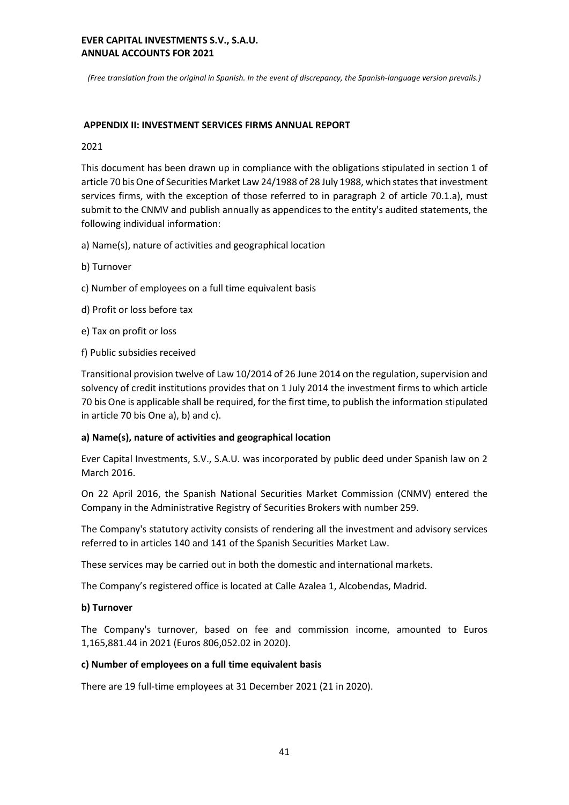*(Free translation from the original in Spanish. In the event of discrepancy, the Spanish-language version prevails.)*

#### **APPENDIX II: INVESTMENT SERVICES FIRMS ANNUAL REPORT**

#### 2021

This document has been drawn up in compliance with the obligations stipulated in section 1 of article 70 bis One of Securities Market Law 24/1988 of 28 July 1988, which states that investment services firms, with the exception of those referred to in paragraph 2 of article 70.1.a), must submit to the CNMV and publish annually as appendices to the entity's audited statements, the following individual information:

a) Name(s), nature of activities and geographical location

- b) Turnover
- c) Number of employees on a full time equivalent basis
- d) Profit or loss before tax
- e) Tax on profit or loss
- f) Public subsidies received

Transitional provision twelve of Law 10/2014 of 26 June 2014 on the regulation, supervision and solvency of credit institutions provides that on 1 July 2014 the investment firms to which article 70 bis One is applicable shall be required, for the first time, to publish the information stipulated in article 70 bis One a), b) and c).

#### **a) Name(s), nature of activities and geographical location**

Ever Capital Investments, S.V., S.A.U. was incorporated by public deed under Spanish law on 2 March 2016.

On 22 April 2016, the Spanish National Securities Market Commission (CNMV) entered the Company in the Administrative Registry of Securities Brokers with number 259.

The Company's statutory activity consists of rendering all the investment and advisory services referred to in articles 140 and 141 of the Spanish Securities Market Law.

These services may be carried out in both the domestic and international markets.

The Company's registered office is located at Calle Azalea 1, Alcobendas, Madrid.

#### **b) Turnover**

The Company's turnover, based on fee and commission income, amounted to Euros 1,165,881.44 in 2021 (Euros 806,052.02 in 2020).

#### **c) Number of employees on a full time equivalent basis**

There are 19 full-time employees at 31 December 2021 (21 in 2020).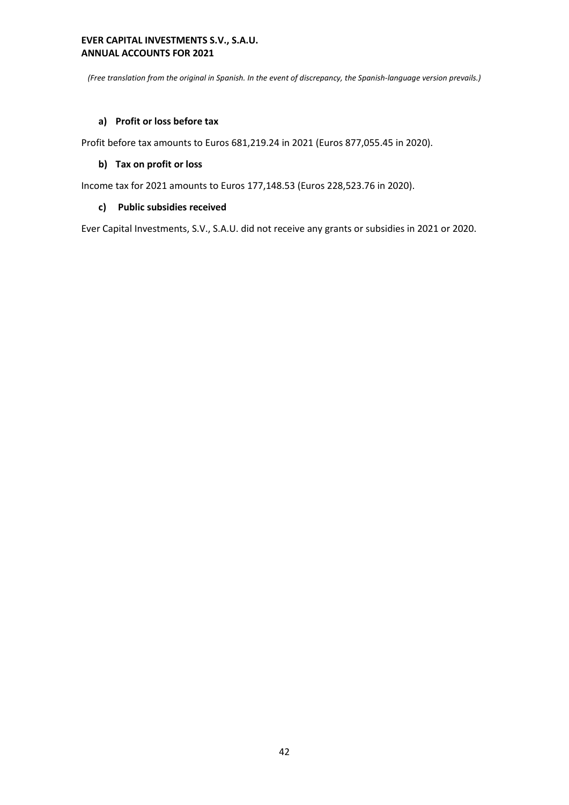*(Free translation from the original in Spanish. In the event of discrepancy, the Spanish-language version prevails.)*

# **a) Profit or loss before tax**

Profit before tax amounts to Euros 681,219.24 in 2021 (Euros 877,055.45 in 2020).

## **b) Tax on profit or loss**

Income tax for 2021 amounts to Euros 177,148.53 (Euros 228,523.76 in 2020).

# **c) Public subsidies received**

Ever Capital Investments, S.V., S.A.U. did not receive any grants or subsidies in 2021 or 2020.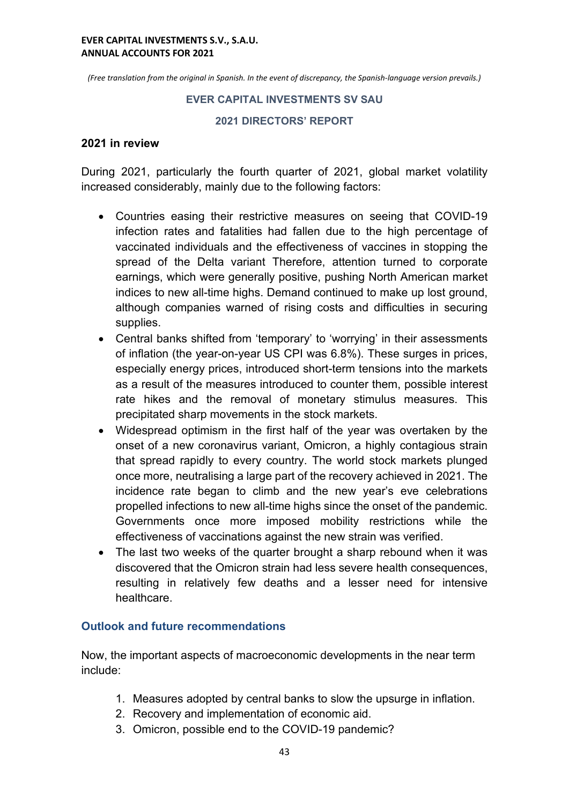*(Free translation from the original in Spanish. In the event of discrepancy, the Spanish-language version prevails.)*

# **EVER CAPITAL INVESTMENTS SV SAU**

# **2021 DIRECTORS' REPORT**

# **2021 in review**

During 2021, particularly the fourth quarter of 2021, global market volatility increased considerably, mainly due to the following factors:

- Countries easing their restrictive measures on seeing that COVID-19 infection rates and fatalities had fallen due to the high percentage of vaccinated individuals and the effectiveness of vaccines in stopping the spread of the Delta variant Therefore, attention turned to corporate earnings, which were generally positive, pushing North American market indices to new all-time highs. Demand continued to make up lost ground, although companies warned of rising costs and difficulties in securing supplies.
- Central banks shifted from 'temporary' to 'worrying' in their assessments of inflation (the year-on-year US CPI was 6.8%). These surges in prices, especially energy prices, introduced short-term tensions into the markets as a result of the measures introduced to counter them, possible interest rate hikes and the removal of monetary stimulus measures. This precipitated sharp movements in the stock markets.
- Widespread optimism in the first half of the year was overtaken by the onset of a new coronavirus variant, Omicron, a highly contagious strain that spread rapidly to every country. The world stock markets plunged once more, neutralising a large part of the recovery achieved in 2021. The incidence rate began to climb and the new year's eve celebrations propelled infections to new all-time highs since the onset of the pandemic. Governments once more imposed mobility restrictions while the effectiveness of vaccinations against the new strain was verified.
- The last two weeks of the quarter brought a sharp rebound when it was discovered that the Omicron strain had less severe health consequences, resulting in relatively few deaths and a lesser need for intensive healthcare.

# **Outlook and future recommendations**

Now, the important aspects of macroeconomic developments in the near term include:

- 1. Measures adopted by central banks to slow the upsurge in inflation.
- 2. Recovery and implementation of economic aid.
- 3. Omicron, possible end to the COVID-19 pandemic?